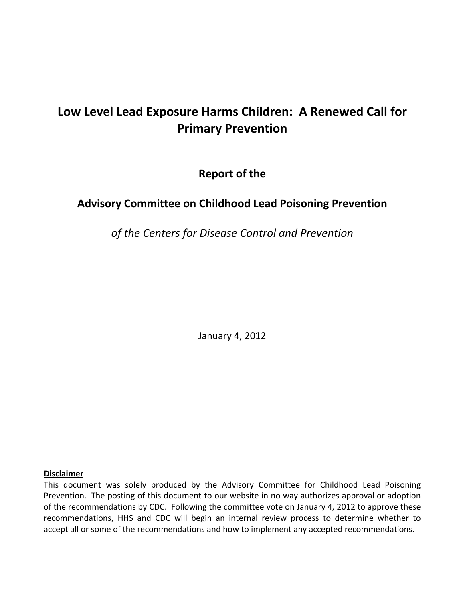# Low Level Lead Exposure Harms Children: A Renewed Call for<br>Primary Prevention<br>Report of the<br>Advisory Committee on Childhood Lead Poisoning Prevention **Prevention**

of the

# **Committee on Childhood Lead Poisoning Prevention**

 *of the Centers for Disease Control and Prevention*

January 4, 2012

#### **Disclaimer**

 This document was solely produced by the Advisory Committee for Childhood Lead Poisoning Prevention. The posting of this document to our website in no way authorizes approval or adoption of the recommendations by CDC. Following the committee vote on January 4, 2012 to approve these recommendations, HHS and CDC will begin an internal review process to determine whether to accept all or some of the recommendations and how to implement any accepted recommendations.anuary 4,<br>the Advisc<br>to our web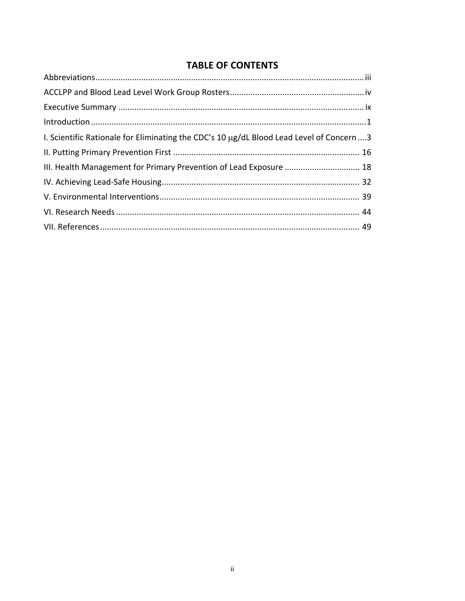# **TABLE OF CONTENTS**

| I. Scientific Rationale for Eliminating the CDC's 10 µg/dL Blood Lead Level of Concern3 |  |
|-----------------------------------------------------------------------------------------|--|
|                                                                                         |  |
| III. Health Management for Primary Prevention of Lead Exposure  18                      |  |
|                                                                                         |  |
|                                                                                         |  |
|                                                                                         |  |
|                                                                                         |  |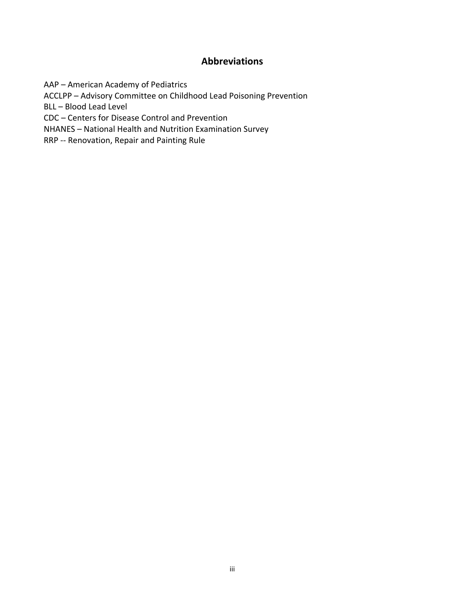## **Abbreviations**

<span id="page-2-0"></span>AAP – American Academy of Pediatrics

ACCLPP – Advisory Committee on Childhood Lead Poisoning Prevention

BLL – Blood Lead Level

CDC – Centers for Disease Control and Prevention

NHANES – National Health and Nutrition Examination Survey

RRP ‐‐ Renovation, Repair and Painting Rule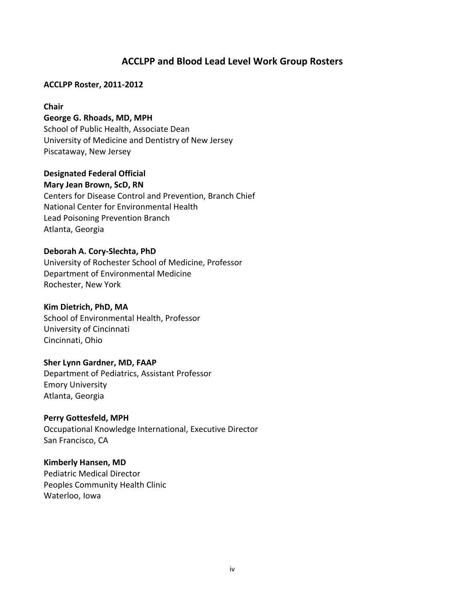# **ACCLPP and Blood Lead Level Work Group Rosters**

#### <span id="page-3-0"></span> **ACCLPP Roster, 2011‐2012**

#### **Chair**

## **George G. Rhoads, MD, MPH**

 School of Public Health, Associate Dean University of Medicine and Dentistry of New Jersey Piscataway, New Jersey

#### **Designated Federal Official**

#### **Mary Jean Brown, ScD, RN**

 Centers for Disease Control and Prevention, Branch Chief National Center for Environmental Health Lead Poisoning Prevention Branch Atlanta, Georgia

#### **Deborah A. Cory‐Slechta, PhD**

 University of Rochester School of Medicine, Professor Department of Environmental Medicine Rochester, New York

## **Kim Dietrich, PhD, MA**

 School of Environmental Health, Professor University of Cincinnati Cincinnati, Ohio

#### **Sher Lynn Gardner, MD, FAAP**

 Department of Pediatrics, Assistant Professor Emory University Atlanta, Georgia

## **Perry Gottesfeld, MPH**

 Occupational Knowledge International, Executive Director San Francisco, CA

## **Kimberly Hansen, MD**

 Pediatric Medical Director Peoples Community Health Clinic Waterloo, Iowa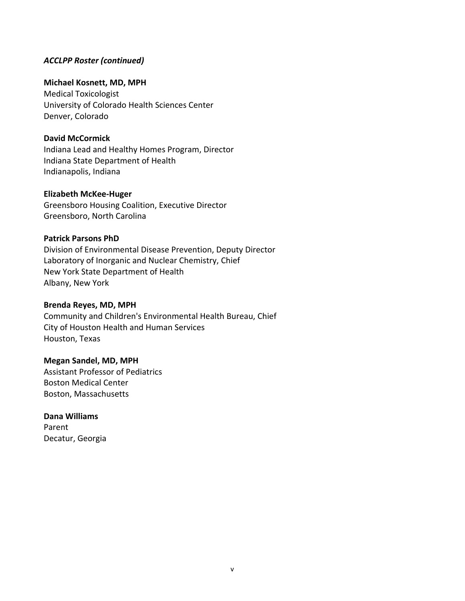### *ACCLPP Roster (continued)*

## **Michael Kosnett, MD, MPH**

 Medical Toxicologist University of Colorado Health Sciences Center Denver, Colorado

#### **David McCormick**

 Indiana Lead and Healthy Homes Program, Director Indiana State Department of Health Indianapolis, Indiana

#### **Elizabeth McKee‐Huger**

 Greensboro Housing Coalition, Executive Director Greensboro, North Carolina

## **Patrick Parsons PhD**

 Division of Environmental Disease Prevention, Deputy Director Laboratory of Inorganic and Nuclear Chemistry, Chief New York State Department of Health Albany, New York

## **Brenda Reyes, MD, MPH**

 Community and Children's Environmental Health Bureau, Chief City of Houston Health and Human Services Houston, Texas

### **Megan Sandel, MD, MPH**

 Assistant Professor of Pediatrics Boston Medical Center Boston, Massachusetts

#### **Dana Williams**

 Decatur, Georgia Parent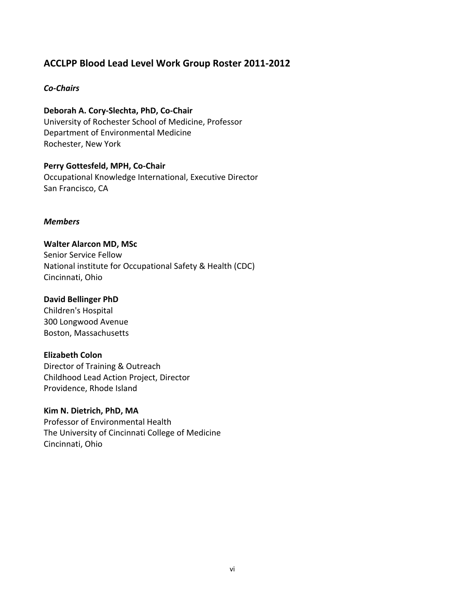# **ACCLPP Blood Lead Level Work Group Roster 2011‐2012**

#### *Co‐Chairs*

 **Deborah A. Cory‐Slechta, PhD, Co‐Chair** University of Rochester School of Medicine, Professor Department of Environmental Medicine Rochester, New York

 **Perry Gottesfeld, MPH, Co‐Chair** Occupational Knowledge International, Executive Director San Francisco, CA

#### *Members*

#### **Walter Alarcon MD, MSc**

 Senior Service Fellow National institute for Occupational Safety & Health (CDC) Cincinnati, Ohio

## **David Bellinger PhD**

 Children's Hospital 300 Longwood Avenue Boston, Massachusetts

## **Elizabeth Colon**

 Director of Training & Outreach Childhood Lead Action Project, Director Providence, Rhode Island

#### **Kim N. Dietrich, PhD, MA**

 Professor of Environmental Health The University of Cincinnati College of Medicine Cincinnati, Ohio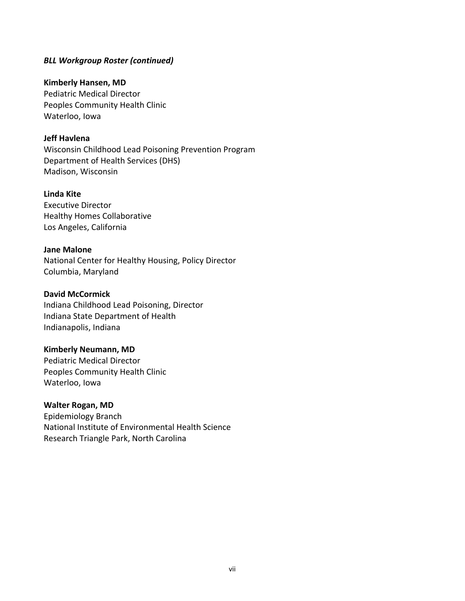### *BLL Workgroup Roster (continued)*

#### **Kimberly Hansen, MD**

 Pediatric Medical Director Peoples Community Health Clinic Waterloo, Iowa

## **Jeff Havlena**

 Wisconsin Childhood Lead Poisoning Prevention Program Department of Health Services (DHS) Madison, Wisconsin

#### **Linda Kite**

 Executive Director Healthy Homes Collaborative Los Angeles, California

#### **Jane Malone**

 National Center for Healthy Housing, Policy Director Columbia, Maryland

#### **David McCormick**

 Indiana Childhood Lead Poisoning, Director Indianapolis, Indiana Indiana State Department of Health

## **Kimberly Neumann, MD**

 Pediatric Medical Director Peoples Community Health Clinic Waterloo, Iowa

## **Walter Rogan, MD**

 Epidemiology Branch National Institute of Environmental Health Science Research Triangle Park, North Carolina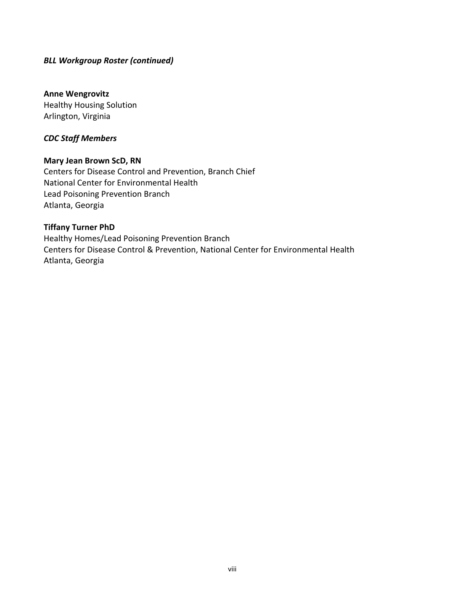## *BLL Workgroup Roster (continued)*

## **Anne Wengrovitz**

 Healthy Housing Solution Arlington, Virginia

#### *CDC Staff Members*

#### **Mary Jean Brown ScD, RN**

 Centers for Disease Control and Prevention, Branch Chief National Center for Environmental Health Lead Poisoning Prevention Branch Atlanta, Georgia

## **Tiffany Turner PhD**

 Healthy Homes/Lead Poisoning Prevention Branch Centers for Disease Control & Prevention, National Center for Environmental Health Atlanta, Georgia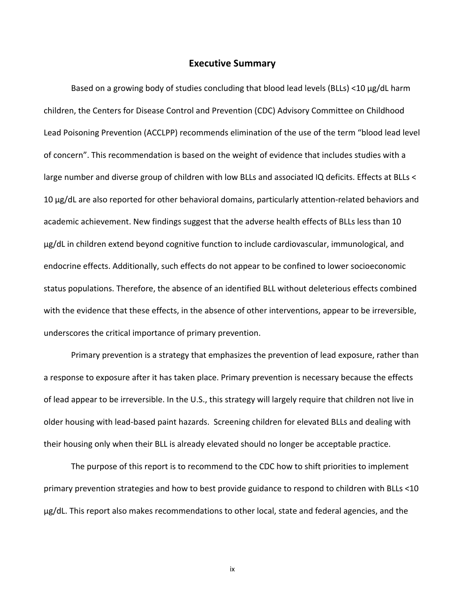## **Executive Summary**

<span id="page-8-0"></span> Based on a growing body of studies concluding that blood lead levels (BLLs) <10 μg/dL harm children, the Centers for Disease Control and Prevention (CDC) Advisory Committee on Childhood Lead Poisoning Prevention (ACCLPP) recommends elimination of the use of the term "blood lead level of concern". This recommendation is based on the weight of evidence that includes studies with a large number and diverse group of children with low BLLs and associated IQ deficits. Effects at BLLs < 10 μg/dL are also reported for other behavioral domains, particularly attention‐related behaviors and academic achievement. New findings suggest that the adverse health effects of BLLs less than 10 µg/dL in children extend beyond cognitive function to include cardiovascular, immunological, and endocrine effects. Additionally, such effects do not appear to be confined to lower socioeconomic status populations. Therefore, the absence of an identified BLL without deleterious effects combined with the evidence that these effects, in the absence of other interventions, appear to be irreversible, underscores the critical importance of primary prevention.

 Primary prevention is a strategy that emphasizes the prevention of lead exposure, rather than a response to exposure after it has taken place. Primary prevention is necessary because the effects of lead appear to be irreversible. In the U.S., this strategy will largely require that children not live in older housing with lead‐based paint hazards. Screening children for elevated BLLs and dealing with their housing only when their BLL is already elevated should no longer be acceptable practice.

 The purpose of this report is to recommend to the CDC how to shift priorities to implement primary prevention strategies and how to best provide guidance to respond to children with BLLs <10 μg/dL. This report also makes recommendations to other local, state and federal agencies, and the

ix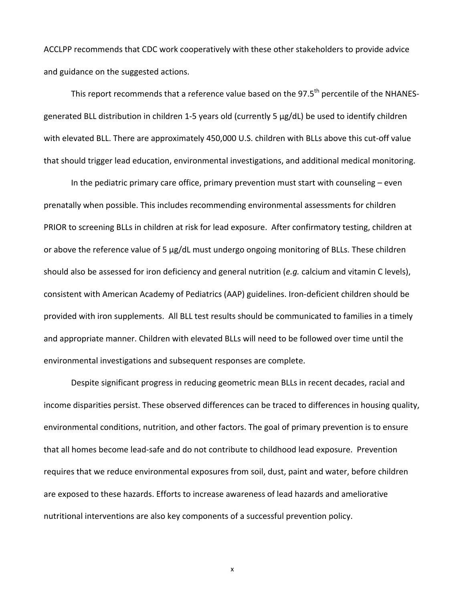ACCLPP recommends that CDC work cooperatively with these other stakeholders to provide advice and guidance on the suggested actions.

This report recommends that a reference value based on the 97.5<sup>th</sup> percentile of the NHANES- generated BLL distribution in children 1‐5 years old (currently 5 μg/dL) be used to identify children with elevated BLL. There are approximately 450,000 U.S. children with BLLs above this cut‐off value that should trigger lead education, environmental investigations, and additional medical monitoring.

 In the pediatric primary care office, primary prevention must start with counseling – even prenatally when possible. This includes recommending environmental assessments for children PRIOR to screening BLLs in children at risk for lead exposure. After confirmatory testing, children at or above the reference value of 5 µg/dL must undergo ongoing monitoring of BLLs. These children should also be assessed for iron deficiency and general nutrition (*e.g.* calcium and vitamin C levels), consistent with American Academy of Pediatrics (AAP) guidelines. Iron‐deficient children should be provided with iron supplements. All BLL test results should be communicated to families in a timely and appropriate manner. Children with elevated BLLs will need to be followed over time until the environmental investigations and subsequent responses are complete.

 Despite significant progress in reducing geometric mean BLLs in recent decades, racial and income disparities persist. These observed differences can be traced to differences in housing quality, environmental conditions, nutrition, and other factors. The goal of primary prevention is to ensure  that all homes become lead‐safe and do not contribute to childhood lead exposure. Prevention requires that we reduce environmental exposures from soil, dust, paint and water, before children are exposed to these hazards. Efforts to increase awareness of lead hazards and ameliorative nutritional interventions are also key components of a successful prevention policy.

x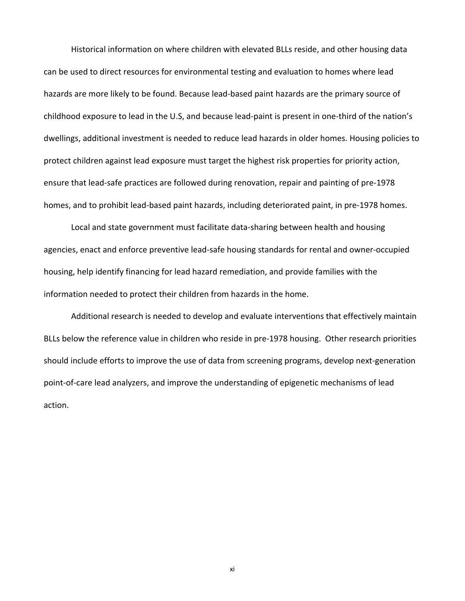Historical information on where children with elevated BLLs reside, and other housing data can be used to direct resources for environmental testing and evaluation to homes where lead hazards are more likely to be found. Because lead‐based paint hazards are the primary source of childhood exposure to lead in the U.S, and because lead‐paint is present in one‐third of the nation's dwellings, additional investment is needed to reduce lead hazards in older homes. Housing policies to protect children against lead exposure must target the highest risk properties for priority action, ensure that lead‐safe practices are followed during renovation, repair and painting of pre‐1978 homes, and to prohibit lead‐based paint hazards, including deteriorated paint, in pre‐1978 homes.

 Local and state government must facilitate data‐sharing between health and housing agencies, enact and enforce preventive lead‐safe housing standards for rental and owner‐occupied housing, help identify financing for lead hazard remediation, and provide families with the information needed to protect their children from hazards in the home.

 Additional research is needed to develop and evaluate interventions that effectively maintain BLLs below the reference value in children who reside in pre‐1978 housing. Other research priorities should include efforts to improve the use of data from screening programs, develop next‐generation point‐of‐care lead analyzers, and improve the understanding of epigenetic mechanisms of lead action.

xi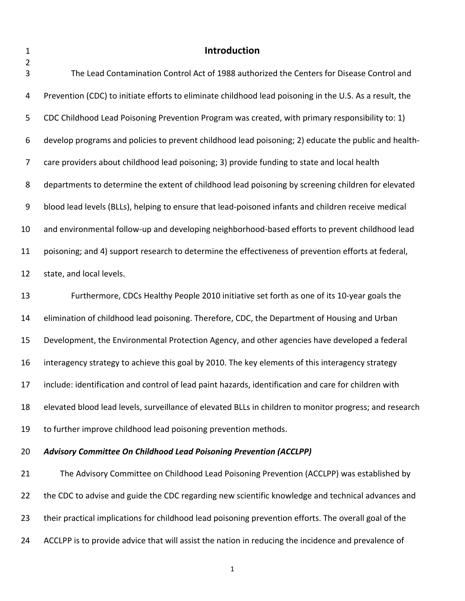# <span id="page-11-0"></span>**Introduction**

| $\mathbf{3}$     | The Lead Contamination Control Act of 1988 authorized the Centers for Disease Control and               |
|------------------|---------------------------------------------------------------------------------------------------------|
| 4                | Prevention (CDC) to initiate efforts to eliminate childhood lead poisoning in the U.S. As a result, the |
| 5                | CDC Childhood Lead Poisoning Prevention Program was created, with primary responsibility to: 1)         |
| 6                | develop programs and policies to prevent childhood lead poisoning; 2) educate the public and health-    |
| 7                | care providers about childhood lead poisoning; 3) provide funding to state and local health             |
| 8                | departments to determine the extent of childhood lead poisoning by screening children for elevated      |
| $\boldsymbol{9}$ | blood lead levels (BLLs), helping to ensure that lead-poisoned infants and children receive medical     |
| 10               | and environmental follow-up and developing neighborhood-based efforts to prevent childhood lead         |
| 11               | poisoning; and 4) support research to determine the effectiveness of prevention efforts at federal,     |
| 12               | state, and local levels.                                                                                |
| 13               | Furthermore, CDCs Healthy People 2010 initiative set forth as one of its 10-year goals the              |
| 14               | elimination of childhood lead poisoning. Therefore, CDC, the Department of Housing and Urban            |
| 15               | Development, the Environmental Protection Agency, and other agencies have developed a federal           |
| 16               | interagency strategy to achieve this goal by 2010. The key elements of this interagency strategy        |
| 17               | include: identification and control of lead paint hazards, identification and care for children with    |
| 18               | elevated blood lead levels, surveillance of elevated BLLs in children to monitor progress; and research |
| 19               | to further improve childhood lead poisoning prevention methods.                                         |
| 20               | Advisory Committee On Childhood Lead Poisoning Prevention (ACCLPP)                                      |
| 21               | The Advisory Committee on Childhood Lead Poisoning Prevention (ACCLPP) was established by               |
| 22               | the CDC to advise and guide the CDC regarding new scientific knowledge and technical advances and       |
|                  |                                                                                                         |

- their practical implications for childhood lead poisoning prevention efforts. The overall goal of the
- ACCLPP is to provide advice that will assist the nation in reducing the incidence and prevalence of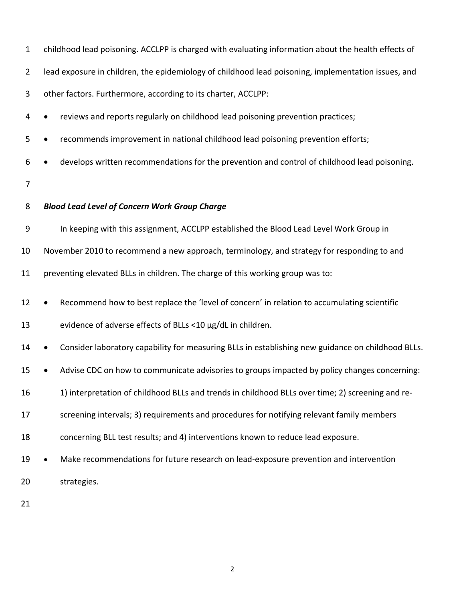| $\mathbf{1}$   | childhood lead poisoning. ACCLPP is charged with evaluating information about the health effects of |
|----------------|-----------------------------------------------------------------------------------------------------|
| $\overline{2}$ | lead exposure in children, the epidemiology of childhood lead poisoning, implementation issues, and |
| 3              | other factors. Furthermore, according to its charter, ACCLPP:                                       |
| 4              | reviews and reports regularly on childhood lead poisoning prevention practices;                     |
| 5              | recommends improvement in national childhood lead poisoning prevention efforts;                     |
| 6              | develops written recommendations for the prevention and control of childhood lead poisoning.        |
| $\overline{7}$ |                                                                                                     |
| 8              | <b>Blood Lead Level of Concern Work Group Charge</b>                                                |
| 9              | In keeping with this assignment, ACCLPP established the Blood Lead Level Work Group in              |
| 10             | November 2010 to recommend a new approach, terminology, and strategy for responding to and          |
| 11             | preventing elevated BLLs in children. The charge of this working group was to:                      |
| 12             | Recommend how to best replace the 'level of concern' in relation to accumulating scientific         |
| 13             | evidence of adverse effects of BLLs <10 µg/dL in children.                                          |
| 14             | Consider laboratory capability for measuring BLLs in establishing new guidance on childhood BLLs.   |
| 15             | Advise CDC on how to communicate advisories to groups impacted by policy changes concerning:        |
| 16             | 1) interpretation of childhood BLLs and trends in childhood BLLs over time; 2) screening and re-    |
| 17             | screening intervals; 3) requirements and procedures for notifying relevant family members           |
| 18             | concerning BLL test results; and 4) interventions known to reduce lead exposure.                    |
| 19             | Make recommendations for future research on lead-exposure prevention and intervention<br>$\bullet$  |
| 20             | strategies.                                                                                         |
| 21             |                                                                                                     |
|                |                                                                                                     |
|                |                                                                                                     |
|                | $\overline{2}$                                                                                      |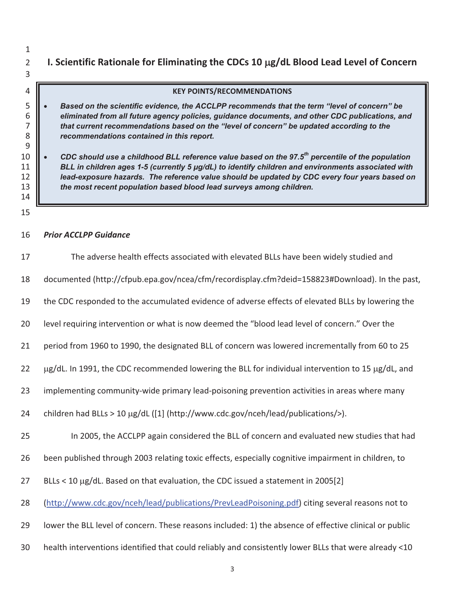**I. Scientific Rationale for Eliminating the CDCs 10** J**g/dL Blood Lead Level of Concern**

#### **KEY POINTS/RECOMMENDATIONS**

- *Based on the scientific evidence, the ACCLPP recommends that the term "level of concern" be eliminated from all future agency policies, guidance documents, and other CDC publications, and that current recommendations based on the "level of concern" be updated according to the recommendations contained in this report.*
- *CDC should use a childhood BLL reference value based on the 97.5th percentile of the population*  **BLL** in children ages 1-5 (currently 5 µg/dL) to identify children and environments associated with *lead-exposure hazards. The reference value should be updated by CDC every four years based on the most recent population based blood lead surveys among children.*
- 

#### *Prior ACCLPP Guidance*

| 17 | The adverse health effects associated with elevated BLLs have been widely studied and                  |
|----|--------------------------------------------------------------------------------------------------------|
| 18 | documented (http://cfpub.epa.gov/ncea/cfm/recordisplay.cfm?deid=158823#Download). In the past,         |
| 19 | the CDC responded to the accumulated evidence of adverse effects of elevated BLLs by lowering the      |
| 20 | level requiring intervention or what is now deemed the "blood lead level of concern." Over the         |
| 21 | period from 1960 to 1990, the designated BLL of concern was lowered incrementally from 60 to 25        |
| 22 | µg/dL. In 1991, the CDC recommended lowering the BLL for individual intervention to 15 µg/dL, and      |
| 23 | implementing community-wide primary lead-poisoning prevention activities in areas where many           |
| 24 | children had BLLs > 10 µg/dL ([1] (http://www.cdc.gov/nceh/lead/publications/>).                       |
| 25 | In 2005, the ACCLPP again considered the BLL of concern and evaluated new studies that had             |
| 26 | been published through 2003 relating toxic effects, especially cognitive impairment in children, to    |
| 27 | BLLs < 10 µg/dL. Based on that evaluation, the CDC issued a statement in 2005[2]                       |
| 28 | (http://www.cdc.gov/nceh/lead/publications/PrevLeadPoisoning.pdf) citing several reasons not to        |
| 29 | lower the BLL level of concern. These reasons included: 1) the absence of effective clinical or public |
| 30 | health interventions identified that could reliably and consistently lower BLLs that were already <10  |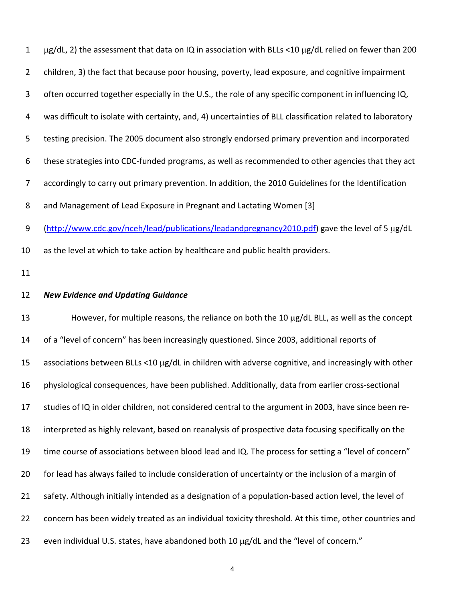| $\mathbf{1}$   | µg/dL, 2) the assessment that data on IQ in association with BLLs <10 µg/dL relied on fewer than 200       |
|----------------|------------------------------------------------------------------------------------------------------------|
| $\overline{2}$ | children, 3) the fact that because poor housing, poverty, lead exposure, and cognitive impairment          |
| 3              | often occurred together especially in the U.S., the role of any specific component in influencing IQ,      |
| 4              | was difficult to isolate with certainty, and, 4) uncertainties of BLL classification related to laboratory |
| 5              | testing precision. The 2005 document also strongly endorsed primary prevention and incorporated            |
| 6              | these strategies into CDC-funded programs, as well as recommended to other agencies that they act          |
| 7              | accordingly to carry out primary prevention. In addition, the 2010 Guidelines for the Identification       |
| 8              | and Management of Lead Exposure in Pregnant and Lactating Women [3]                                        |
| 9              | (http://www.cdc.gov/nceh/lead/publications/leadandpregnancy2010.pdf) gave the level of 5 µg/dL             |
| 10             | as the level at which to take action by healthcare and public health providers.                            |
| 11             |                                                                                                            |
| 12             | <b>New Evidence and Updating Guidance</b>                                                                  |
| 13             | However, for multiple reasons, the reliance on both the 10 µg/dL BLL, as well as the concept               |
| 14             | of a "level of concern" has been increasingly questioned. Since 2003, additional reports of                |
| 15             | associations between BLLs <10 µg/dL in children with adverse cognitive, and increasingly with other        |
| 16             | physiological consequences, have been published. Additionally, data from earlier cross-sectional           |
| 17             | studies of IQ in older children, not considered central to the argument in 2003, have since been re-       |
| 18             | interpreted as highly relevant, based on reanalysis of prospective data focusing specifically on the       |
| 19             | time course of associations between blood lead and IQ. The process for setting a "level of concern"        |
| 20             | for lead has always failed to include consideration of uncertainty or the inclusion of a margin of         |
| 21             | safety. Although initially intended as a designation of a population-based action level, the level of      |
| 22             |                                                                                                            |
|                | concern has been widely treated as an individual toxicity threshold. At this time, other countries and     |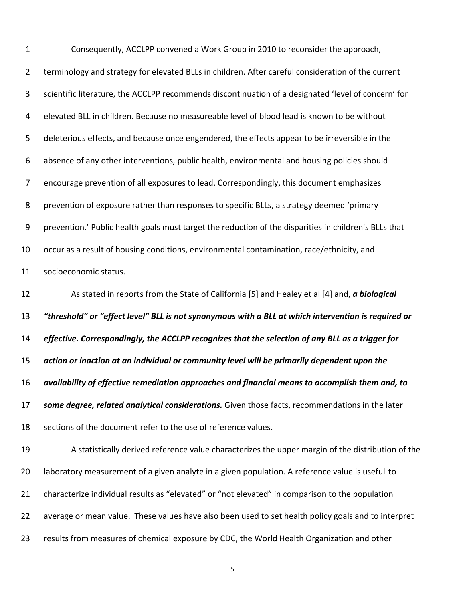| $\mathbf{1}$   | Consequently, ACCLPP convened a Work Group in 2010 to reconsider the approach,                        |
|----------------|-------------------------------------------------------------------------------------------------------|
| $\overline{2}$ | terminology and strategy for elevated BLLs in children. After careful consideration of the current    |
| 3              | scientific literature, the ACCLPP recommends discontinuation of a designated 'level of concern' for   |
| 4              | elevated BLL in children. Because no measureable level of blood lead is known to be without           |
| 5              | deleterious effects, and because once engendered, the effects appear to be irreversible in the        |
| 6              | absence of any other interventions, public health, environmental and housing policies should          |
| 7              | encourage prevention of all exposures to lead. Correspondingly, this document emphasizes              |
| 8              | prevention of exposure rather than responses to specific BLLs, a strategy deemed 'primary             |
| 9              | prevention.' Public health goals must target the reduction of the disparities in children's BLLs that |
| 10             | occur as a result of housing conditions, environmental contamination, race/ethnicity, and             |
| 11             | socioeconomic status.                                                                                 |
| 12             | As stated in reports from the State of California [5] and Healey et al [4] and, a biological          |
| 13             | "threshold" or "effect level" BLL is not synonymous with a BLL at which intervention is required or   |
| 14             | effective. Correspondingly, the ACCLPP recognizes that the selection of any BLL as a trigger for      |
| 15             | action or inaction at an individual or community level will be primarily dependent upon the           |
| 16             | availability of effective remediation approaches and financial means to accomplish them and, to       |
| 17             | some degree, related analytical considerations. Given those facts, recommendations in the later       |
| 18             | sections of the document refer to the use of reference values.                                        |
| 19             | A statistically derived reference value characterizes the upper margin of the distribution of the     |
| 20             | laboratory measurement of a given analyte in a given population. A reference value is useful to       |
| 21             | characterize individual results as "elevated" or "not elevated" in comparison to the population       |
| 22             | average or mean value. These values have also been used to set health policy goals and to interpret   |
| 23             | results from measures of chemical exposure by CDC, the World Health Organization and other            |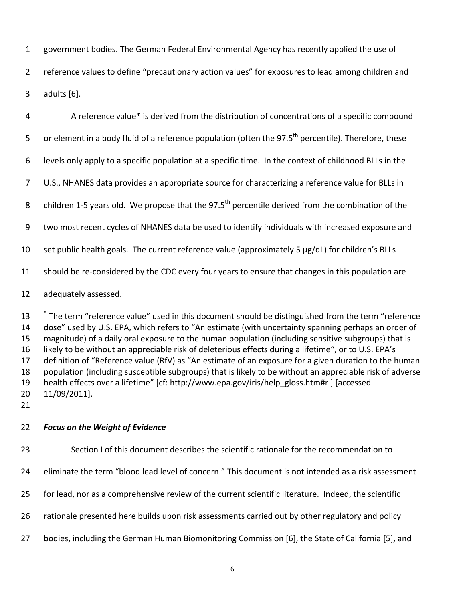government bodies. The German Federal Environmental Agency has recently applied the use of

 reference values to define "precautionary action values" for exposures to lead among children and adults [6].

| 4              | A reference value* is derived from the distribution of concentrations of a specific compound                     |
|----------------|------------------------------------------------------------------------------------------------------------------|
| 5              | or element in a body fluid of a reference population (often the 97.5 <sup>th</sup> percentile). Therefore, these |
| 6              | levels only apply to a specific population at a specific time. In the context of childhood BLLs in the           |
| $\overline{7}$ | U.S., NHANES data provides an appropriate source for characterizing a reference value for BLLs in                |
| 8              | children 1-5 years old. We propose that the 97.5 <sup>th</sup> percentile derived from the combination of the    |
| 9              | two most recent cycles of NHANES data be used to identify individuals with increased exposure and                |
| 10             | set public health goals. The current reference value (approximately 5 µg/dL) for children's BLLs                 |
| 11             | should be re-considered by the CDC every four years to ensure that changes in this population are                |
| 12             | adequately assessed.                                                                                             |

13 <sup>\*</sup> The term "reference value" used in this document should be distinguished from the term "reference dose" used by U.S. EPA, which refers to "An estimate (with uncertainty spanning perhaps an order of magnitude) of a daily oral exposure to the human population (including sensitive subgroups) that is likely to be without an appreciable risk of deleterious effects during a lifetime", or to U.S. EPA's definition of "Reference value (RfV) as "An estimate of an exposure for a given duration to the human population (including susceptible subgroups) that is likely to be without an appreciable risk of adverse health effects over a lifetime" [cf: http://www.epa.gov/iris/help\_gloss.htm#r ] [accessed 11/09/2011].

#### *Focus on the Weight of Evidence*

Section I of this document describes the scientific rationale for the recommendation to

eliminate the term "blood lead level of concern." This document is not intended as a risk assessment

for lead, nor as a comprehensive review of the current scientific literature. Indeed, the scientific

rationale presented here builds upon risk assessments carried out by other regulatory and policy

bodies, including the German Human Biomonitoring Commission [6], the State of California [5], and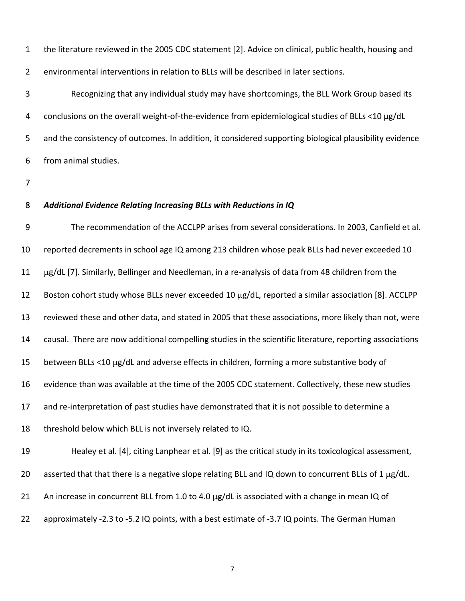the literature reviewed in the 2005 CDC statement [2]. Advice on clinical, public health, housing and environmental interventions in relation to BLLs will be described in later sections. 1 2

 Recognizing that any individual study may have shortcomings, the BLL Work Group based its conclusions on the overall weight‐of‐the‐evidence from epidemiological studies of BLLs <10 µg/dL and the consistency of outcomes. In addition, it considered supporting biological plausibility evidence from animal studies. 3 4 5 6

7

#### *Additional Evidence Relating Increasing BLLs with Reductions in IQ* 8

 The recommendation of the ACCLPP arises from several considerations. In 2003, Canfield et al. reported decrements in school age IQ among 213 children whose peak BLLs had never exceeded 10 g/dL [7]. Similarly, Bellinger and Needleman, in a re‐analysis of data from 48 children from the Boston cohort study whose BLLs never exceeded 10 µg/dL, reported a similar association [8]. ACCLPP reviewed these and other data, and stated in 2005 that these associations, more likely than not, were causal. There are now additional compelling studies in the scientific literature, reporting associations between BLLs <10 µg/dL and adverse effects in children, forming a more substantive body of evidence than was available at the time of the 2005 CDC statement. Collectively, these new studies and re‐interpretation of past studies have demonstrated that it is not possible to determine a threshold below which BLL is not inversely related to IQ. Healey et al. [4], citing Lanphear et al. [9] as the critical study in its toxicological assessment, asserted that that there is a negative slope relating BLL and IQ down to concurrent BLLs of 1  $\mu$ g/dL. An increase in concurrent BLL from 1.0 to 4.0 µg/dL is associated with a change in mean IQ of approximately ‐2.3 to ‐5.2 IQ points, with a best estimate of ‐3.7 IQ points. The German Human 9 10 11 12 13 14 15 16 17 18 19 20 21 22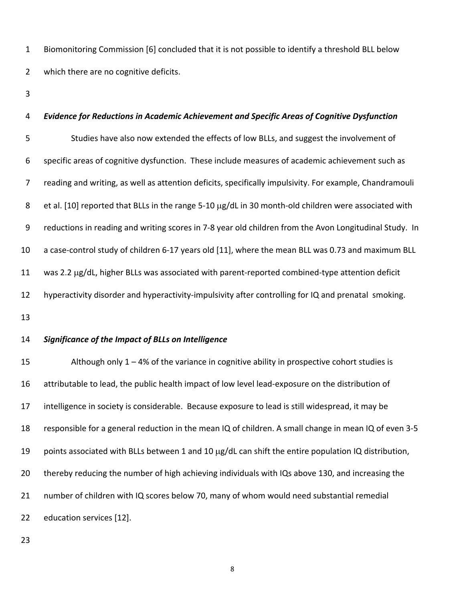Biomonitoring Commission [6] concluded that it is not possible to identify a threshold BLL below which there are no cognitive deficits. 1 2

3

## *Evidence for Reductions in Academic Achievement and Specific Areas of Cognitive Dysfunction* Studies have also now extended the effects of low BLLs, and suggest the involvement of specific areas of cognitive dysfunction. These include measures of academic achievement such as reading and writing, as well as attention deficits, specifically impulsivity. For example, Chandramouli et al. [10] reported that BLLs in the range 5-10 μg/dL in 30 month-old children were associated with reductions in reading and writing scores in 7‐8 year old children from the Avon Longitudinal Study. In a case‐control study of children 6‐17 years old [11], where the mean BLL was 0.73 and maximum BLL was 2.2 µg/dL, higher BLLs was associated with parent-reported combined-type attention deficit hyperactivity disorder and hyperactivity‐impulsivity after controlling for IQ and prenatal smoking. 4 5 6 7 8 9 10 11 12

13

#### *Significance of the Impact of BLLs on Intelligence* 14

 Although only 1 – 4% of the variance in cognitive ability in prospective cohort studies is attributable to lead, the public health impact of low level lead‐exposure on the distribution of intelligence in society is considerable. Because exposure to lead is still widespread, it may be responsible for a general reduction in the mean IQ of children. A small change in mean IQ of even 3‐5 points associated with BLLs between 1 and 10  $\mu$ g/dL can shift the entire population IQ distribution, thereby reducing the number of high achieving individuals with IQs above 130, and increasing the number of children with IQ scores below 70, many of whom would need substantial remedial education services [12]. 15 16 17 18 19 20 21 22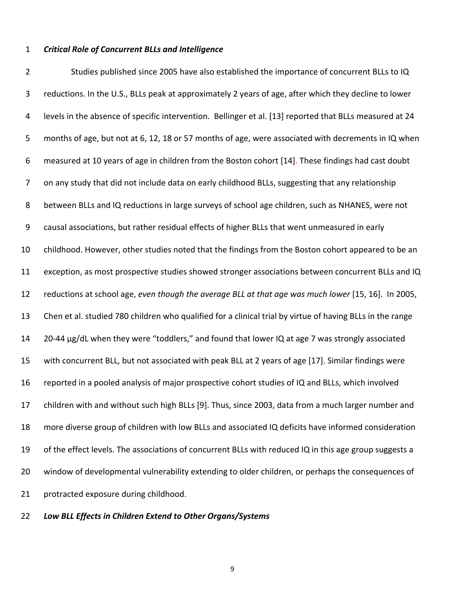#### *Critical Role of Concurrent BLLs and Intelligence*

 Studies published since 2005 have also established the importance of concurrent BLLs to IQ reductions. In the U.S., BLLs peak at approximately 2 years of age, after which they decline to lower levels in the absence of specific intervention. Bellinger et al. [13] reported that BLLs measured at 24 months of age, but not at 6, 12, 18 or 57 months of age, were associated with decrements in IQ when measured at 10 years of age in children from the Boston cohort [14]. These findings had cast doubt on any study that did not include data on early childhood BLLs, suggesting that any relationship between BLLs and IQ reductions in large surveys of school age children, such as NHANES, were not causal associations, but rather residual effects of higher BLLs that went unmeasured in early childhood. However, other studies noted that the findings from the Boston cohort appeared to be an exception, as most prospective studies showed stronger associations between concurrent BLLs and IQ  reductions at school age, *even though the average BLL at that age was much lower* [15, 16]. In 2005, Chen et al. studied 780 children who qualified for a clinical trial by virtue of having BLLs in the range 20‐44 µg/dL when they were "toddlers," and found that lower IQ at age 7 was strongly associated with concurrent BLL, but not associated with peak BLL at 2 years of age [17]. Similar findings were reported in a pooled analysis of major prospective cohort studies of IQ and BLLs, which involved children with and without such high BLLs [9]. Thus, since 2003, data from a much larger number and more diverse group of children with low BLLs and associated IQ deficits have informed consideration of the effect levels. The associations of concurrent BLLs with reduced IQ in this age group suggests a window of developmental vulnerability extending to older children, or perhaps the consequences of protracted exposure during childhood. 2 3 4 5 6 7 8 9 10 11 12 13 14 15 16 17 18 19 20 21

 *Low BLL Effects in Children Extend to Other Organs/Systems* 22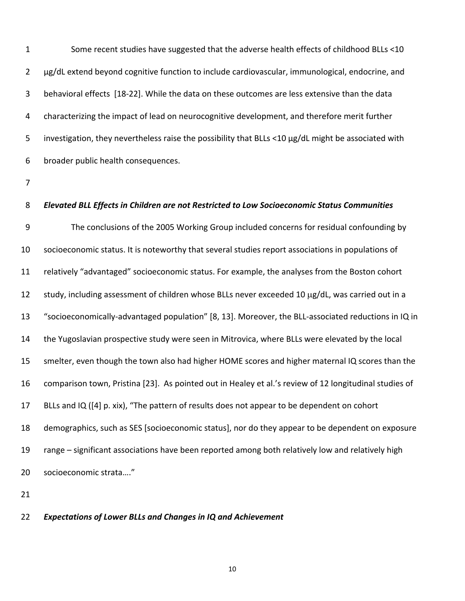Some recent studies have suggested that the adverse health effects of childhood BLLs <10 µg/dL extend beyond cognitive function to include cardiovascular, immunological, endocrine, and behavioral effects [18‐22]. While the data on these outcomes are less extensive than the data characterizing the impact of lead on neurocognitive development, and therefore merit further investigation, they nevertheless raise the possibility that BLLs <10 µg/dL might be associated with broader public health consequences. 1 2 3 4 5 6

7

#### *Elevated BLL Effects in Children are not Restricted to Low Socioeconomic Status Communities* 8

 The conclusions of the 2005 Working Group included concerns for residual confounding by socioeconomic status. It is noteworthy that several studies report associations in populations of relatively "advantaged" socioeconomic status. For example, the analyses from the Boston cohort study, including assessment of children whose BLLs never exceeded 10 µg/dL, was carried out in a "socioeconomically‐advantaged population" [8, 13]. Moreover, the BLL‐associated reductions in IQ in the Yugoslavian prospective study were seen in Mitrovica, where BLLs were elevated by the local smelter, even though the town also had higher HOME scores and higher maternal IQ scores than the comparison town, Pristina [23]. As pointed out in Healey et al.'s review of 12 longitudinal studies of BLLs and IQ ([4] p. xix), "The pattern of results does not appear to be dependent on cohort demographics, such as SES [socioeconomic status], nor do they appear to be dependent on exposure range – significant associations have been reported among both relatively low and relatively high socioeconomic strata…." 9 10 11 12 13 14 15 16 17 18 19 20

21

#### *Expectations of Lower BLLs and Changes in IQ and Achievement* 22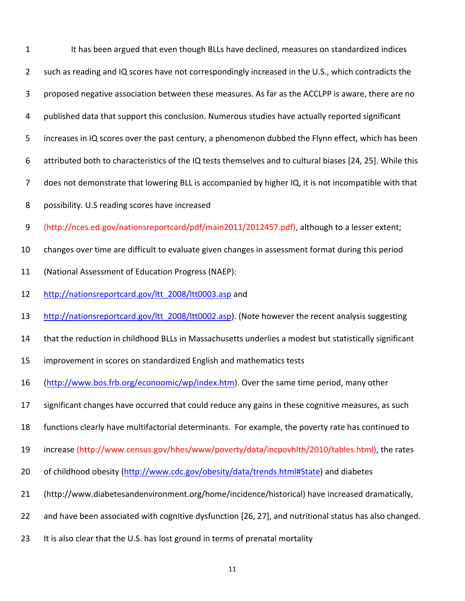| $\mathbf{1}$   | It has been argued that even though BLLs have declined, measures on standardized indices                  |
|----------------|-----------------------------------------------------------------------------------------------------------|
| $\overline{2}$ | such as reading and IQ scores have not correspondingly increased in the U.S., which contradicts the       |
| 3              | proposed negative association between these measures. As far as the ACCLPP is aware, there are no         |
| 4              | published data that support this conclusion. Numerous studies have actually reported significant          |
| 5              | increases in IQ scores over the past century, a phenomenon dubbed the Flynn effect, which has been        |
| 6              | attributed both to characteristics of the IQ tests themselves and to cultural biases [24, 25]. While this |
| $\overline{7}$ | does not demonstrate that lowering BLL is accompanied by higher IQ, it is not incompatible with that      |
| 8              | possibility. U.S reading scores have increased                                                            |
| 9              | (http://nces.ed.gov/nationsreportcard/pdf/main2011/2012457.pdf), although to a lesser extent;             |
| 10             | changes over time are difficult to evaluate given changes in assessment format during this period         |
| 11             | (National Assessment of Education Progress (NAEP):                                                        |
| 12             | http://nationsreportcard.gov/ltt 2008/ltt0003.asp and                                                     |
| 13             | http://nationsreportcard.gov/ltt 2008/ltt0002.asp). (Note however the recent analysis suggesting          |
| 14             | that the reduction in childhood BLLs in Massachusetts underlies a modest but statistically significant    |
| 15             | improvement in scores on standardized English and mathematics tests                                       |
| 16             | (http://www.bos.frb.org/econoomic/wp/index.htm). Over the same time period, many other                    |
| 17             | significant changes have occurred that could reduce any gains in these cognitive measures, as such        |
| 18             | functions clearly have multifactorial determinants. For example, the poverty rate has continued to        |
| 19             | increase (http://www.census.gov/hhes/www/poverty/data/incpovhlth/2010/tables.html), the rates             |
| 20             | of childhood obesity (http://www.cdc.gov/obesity/data/trends.html#State) and diabetes                     |
| 21             | (http://www.diabetesandenvironment.org/home/incidence/historical) have increased dramatically,            |
| 22             | and have been associated with cognitive dysfunction [26, 27], and nutritional status has also changed.    |
| 23             | It is also clear that the U.S. has lost ground in terms of prenatal mortality                             |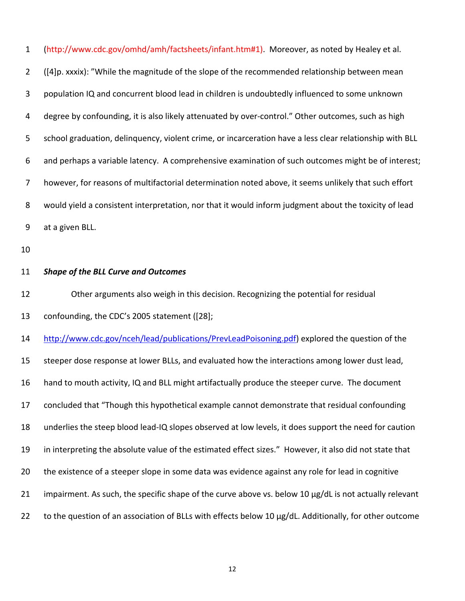| $\mathbf{1}$   | (http://www.cdc.gov/omhd/amh/factsheets/infant.htm#1). Moreover, as noted by Healey et al.              |
|----------------|---------------------------------------------------------------------------------------------------------|
| $\overline{2}$ | ([4]p. xxxix): "While the magnitude of the slope of the recommended relationship between mean           |
| 3              | population IQ and concurrent blood lead in children is undoubtedly influenced to some unknown           |
| 4              | degree by confounding, it is also likely attenuated by over-control." Other outcomes, such as high      |
| 5              | school graduation, delinquency, violent crime, or incarceration have a less clear relationship with BLL |
| 6              | and perhaps a variable latency. A comprehensive examination of such outcomes might be of interest;      |
| 7              | however, for reasons of multifactorial determination noted above, it seems unlikely that such effort    |
| 8              | would yield a consistent interpretation, nor that it would inform judgment about the toxicity of lead   |
| 9              | at a given BLL.                                                                                         |
| 10             |                                                                                                         |
| 11             | <b>Shape of the BLL Curve and Outcomes</b>                                                              |
| 12             | Other arguments also weigh in this decision. Recognizing the potential for residual                     |
| 13             | confounding, the CDC's 2005 statement ([28];                                                            |
| 14             | http://www.cdc.gov/nceh/lead/publications/PrevLeadPoisoning.pdf) explored the question of the           |
| 15             | steeper dose response at lower BLLs, and evaluated how the interactions among lower dust lead,          |
| 16             |                                                                                                         |
|                | hand to mouth activity, IQ and BLL might artifactually produce the steeper curve. The document          |
| 17             | concluded that "Though this hypothetical example cannot demonstrate that residual confounding           |
| 18             | underlies the steep blood lead-IQ slopes observed at low levels, it does support the need for caution   |
| 19             | in interpreting the absolute value of the estimated effect sizes." However, it also did not state that  |
| 20             | the existence of a steeper slope in some data was evidence against any role for lead in cognitive       |
| 21             | impairment. As such, the specific shape of the curve above vs. below 10 µg/dL is not actually relevant  |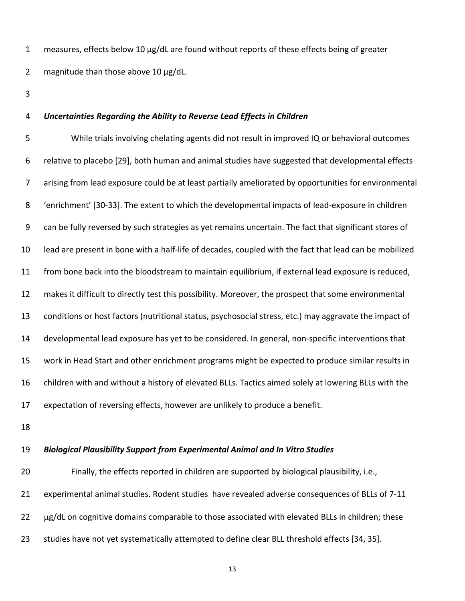measures, effects below 10 µg/dL are found without reports of these effects being of greater magnitude than those above 10 µg/dL. 1 2

3

#### *Uncertainties Regarding the Ability to Reverse Lead Effects in Children* 4

 While trials involving chelating agents did not result in improved IQ or behavioral outcomes relative to placebo [29], both human and animal studies have suggested that developmental effects arising from lead exposure could be at least partially ameliorated by opportunities for environmental 'enrichment' [30‐33]. The extent to which the developmental impacts of lead‐exposure in children can be fully reversed by such strategies as yet remains uncertain. The fact that significant stores of lead are present in bone with a half‐life of decades, coupled with the fact that lead can be mobilized from bone back into the bloodstream to maintain equilibrium, if external lead exposure is reduced, makes it difficult to directly test this possibility. Moreover, the prospect that some environmental conditions or host factors (nutritional status, psychosocial stress, etc.) may aggravate the impact of developmental lead exposure has yet to be considered. In general, non‐specific interventions that work in Head Start and other enrichment programs might be expected to produce similar results in children with and without a history of elevated BLLs. Tactics aimed solely at lowering BLLs with the expectation of reversing effects, however are unlikely to produce a benefit. 5 6 7 8 9 10 11 12 13 14 15 16 17

18

#### *Biological Plausibility Support from Experimental Animal and In Vitro Studies* 19

 Finally, the effects reported in children are supported by biological plausibility, i.e., experimental animal studies. Rodent studies have revealed adverse consequences of BLLs of 7‐11 g/dL on cognitive domains comparable to those associated with elevated BLLs in children; these studies have not yet systematically attempted to define clear BLL threshold effects [34, 35]. 20 21 22 23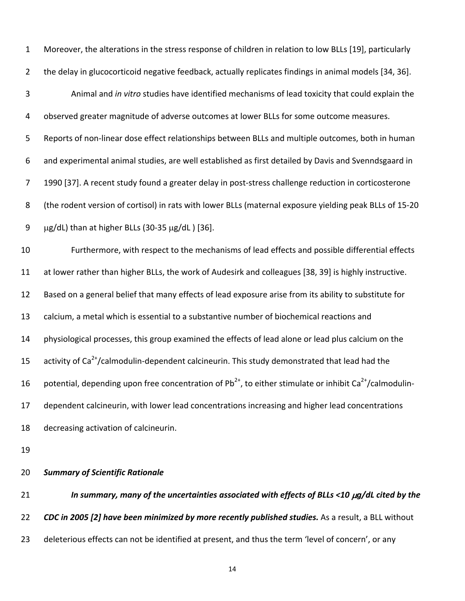| $\mathbf{1}$   | Moreover, the alterations in the stress response of children in relation to low BLLs [19], particularly                  |
|----------------|--------------------------------------------------------------------------------------------------------------------------|
| $\overline{2}$ | the delay in glucocorticoid negative feedback, actually replicates findings in animal models [34, 36].                   |
| $\mathbf{3}$   | Animal and in vitro studies have identified mechanisms of lead toxicity that could explain the                           |
| 4              | observed greater magnitude of adverse outcomes at lower BLLs for some outcome measures.                                  |
| 5              | Reports of non-linear dose effect relationships between BLLs and multiple outcomes, both in human                        |
| 6              | and experimental animal studies, are well established as first detailed by Davis and Svenndsgaard in                     |
| 7              | 1990 [37]. A recent study found a greater delay in post-stress challenge reduction in corticosterone                     |
| 8              | (the rodent version of cortisol) in rats with lower BLLs (maternal exposure yielding peak BLLs of 15-20                  |
| 9              | µg/dL) than at higher BLLs (30-35 µg/dL) [36].                                                                           |
| 10             | Furthermore, with respect to the mechanisms of lead effects and possible differential effects                            |
| 11             | at lower rather than higher BLLs, the work of Audesirk and colleagues [38, 39] is highly instructive.                    |
| 12             | Based on a general belief that many effects of lead exposure arise from its ability to substitute for                    |
| 13             | calcium, a metal which is essential to a substantive number of biochemical reactions and                                 |
| 14             | physiological processes, this group examined the effects of lead alone or lead plus calcium on the                       |
| 15             | activity of Ca <sup>2+</sup> /calmodulin-dependent calcineurin. This study demonstrated that lead had the                |
| 16             | potential, depending upon free concentration of $Pb^{2+}$ , to either stimulate or inhibit Ca <sup>2+</sup> /calmodulin- |
| 17             | dependent calcineurin, with lower lead concentrations increasing and higher lead concentrations                          |
| 18             | decreasing activation of calcineurin.                                                                                    |
| 19             |                                                                                                                          |
| 20             | <b>Summary of Scientific Rationale</b>                                                                                   |

In summary, many of the uncertainties associated with effects of BLLs <10  $\mu$ g/dL cited by the CDC in 2005 [2] have been minimized by more recently published studies. As a result, a BLL without deleterious effects can not be identified at present, and thus the term 'level of concern', or any 21 22 23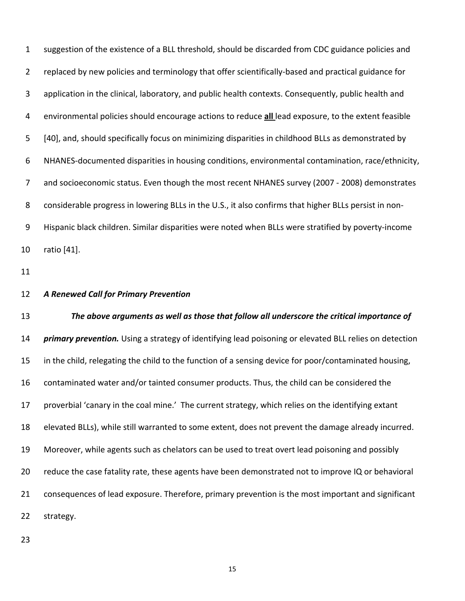suggestion of the existence of a BLL threshold, should be discarded from CDC guidance policies and replaced by new policies and terminology that offer scientifically‐based and practical guidance for application in the clinical, laboratory, and public health contexts. Consequently, public health and environmental policies should encourage actions to reduce **all** lead exposure, to the extent feasible [40], and, should specifically focus on minimizing disparities in childhood BLLs as demonstrated by NHANES‐documented disparities in housing conditions, environmental contamination, race/ethnicity, and socioeconomic status. Even though the most recent NHANES survey (2007 ‐ 2008) demonstrates 8 considerable progress in lowering BLLs in the U.S., it also confirms that higher BLLs persist in non- Hispanic black children. Similar disparities were noted when BLLs were stratified by poverty‐income ratio [41].

 *A Renewed Call for Primary Prevention*

13 The above arguments as well as those that follow all underscore the critical importance of *primary prevention.* Using a strategy of identifying lead poisoning or elevated BLL relies on detection 15 in the child, relegating the child to the function of a sensing device for poor/contaminated housing, contaminated water and/or tainted consumer products. Thus, the child can be considered the proverbial 'canary in the coal mine.' The current strategy, which relies on the identifying extant elevated BLLs), while still warranted to some extent, does not prevent the damage already incurred. Moreover, while agents such as chelators can be used to treat overt lead poisoning and possibly reduce the case fatality rate, these agents have been demonstrated not to improve IQ or behavioral consequences of lead exposure. Therefore, primary prevention is the most important and significant strategy.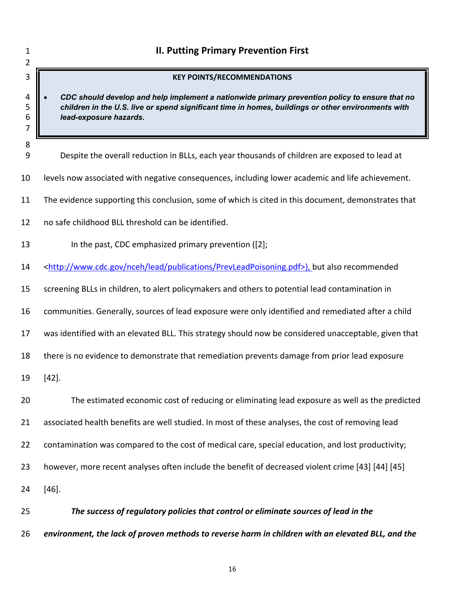| 1<br>2           | <b>II. Putting Primary Prevention First</b>                                                                                                                                                                                    |
|------------------|--------------------------------------------------------------------------------------------------------------------------------------------------------------------------------------------------------------------------------|
| 3                | <b>KEY POINTS/RECOMMENDATIONS</b>                                                                                                                                                                                              |
| 4<br>5<br>6<br>7 | CDC should develop and help implement a nationwide primary prevention policy to ensure that no<br>children in the U.S. live or spend significant time in homes, buildings or other environments with<br>lead-exposure hazards. |
| 8<br>9           | Despite the overall reduction in BLLs, each year thousands of children are exposed to lead at                                                                                                                                  |
| 10               | levels now associated with negative consequences, including lower academic and life achievement.                                                                                                                               |
| 11               | The evidence supporting this conclusion, some of which is cited in this document, demonstrates that                                                                                                                            |
| 12               | no safe childhood BLL threshold can be identified.                                                                                                                                                                             |
| 13               | In the past, CDC emphasized primary prevention ([2];                                                                                                                                                                           |
| 14               | <http: lead="" nceh="" prevleadpoisoning.pdf="" publications="" www.cdc.gov="">), but also recommended</http:>                                                                                                                 |
| 15               | screening BLLs in children, to alert policymakers and others to potential lead contamination in                                                                                                                                |
| 16               | communities. Generally, sources of lead exposure were only identified and remediated after a child                                                                                                                             |
| 17               | was identified with an elevated BLL. This strategy should now be considered unacceptable, given that                                                                                                                           |
| 18               | there is no evidence to demonstrate that remediation prevents damage from prior lead exposure                                                                                                                                  |
| 19               | $[42]$ .                                                                                                                                                                                                                       |
| 20               | The estimated economic cost of reducing or eliminating lead exposure as well as the predicted                                                                                                                                  |
| 21               | associated health benefits are well studied. In most of these analyses, the cost of removing lead                                                                                                                              |
| 22               | contamination was compared to the cost of medical care, special education, and lost productivity;                                                                                                                              |
| 23               | however, more recent analyses often include the benefit of decreased violent crime [43] [44] [45]                                                                                                                              |
| 24               | $[46]$ .                                                                                                                                                                                                                       |
| 25               | The success of regulatory policies that control or eliminate sources of lead in the                                                                                                                                            |
| 26               | environment, the lack of proven methods to reverse harm in children with an elevated BLL, and the                                                                                                                              |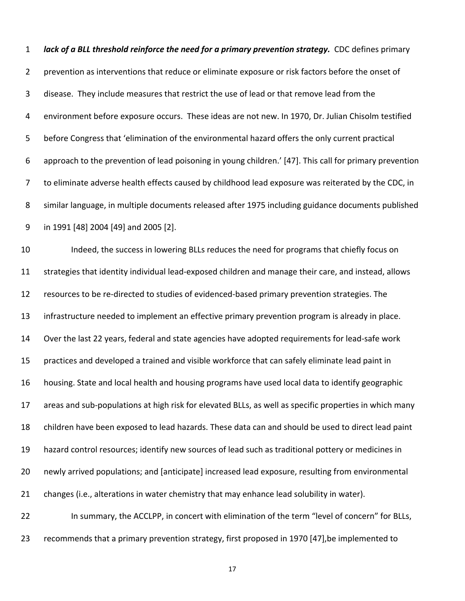lack of a BLL threshold reinforce the need for a primary prevention strategy. CDC defines primary prevention as interventions that reduce or eliminate exposure or risk factors before the onset of disease. They include measures that restrict the use of lead or that remove lead from the environment before exposure occurs. These ideas are not new. In 1970, Dr. Julian Chisolm testified before Congress that 'elimination of the environmental hazard offers the only current practical approach to the prevention of lead poisoning in young children.' [47]. This call for primary prevention to eliminate adverse health effects caused by childhood lead exposure was reiterated by the CDC, in similar language, in multiple documents released after 1975 including guidance documents published in 1991 [48] 2004 [49] and 2005 [2]. 1 2 3 4 5 6 7 8 9

 Indeed, the success in lowering BLLs reduces the need for programs that chiefly focus on strategies that identity individual lead‐exposed children and manage their care, and instead, allows resources to be re‐directed to studies of evidenced‐based primary prevention strategies. The infrastructure needed to implement an effective primary prevention program is already in place. Over the last 22 years, federal and state agencies have adopted requirements for lead‐safe work practices and developed a trained and visible workforce that can safely eliminate lead paint in housing. State and local health and housing programs have used local data to identify geographic areas and sub‐populations at high risk for elevated BLLs, as well as specific properties in which many children have been exposed to lead hazards. These data can and should be used to direct lead paint hazard control resources; identify new sources of lead such as traditional pottery or medicines in newly arrived populations; and [anticipate] increased lead exposure, resulting from environmental changes (i.e., alterations in water chemistry that may enhance lead solubility in water). In summary, the ACCLPP, in concert with elimination of the term "level of concern" for BLLs, 10 11 12 13 14 15 16 17 18 19 20 21 22

 recommends that a primary prevention strategy, first proposed in 1970 [47],be implemented to 23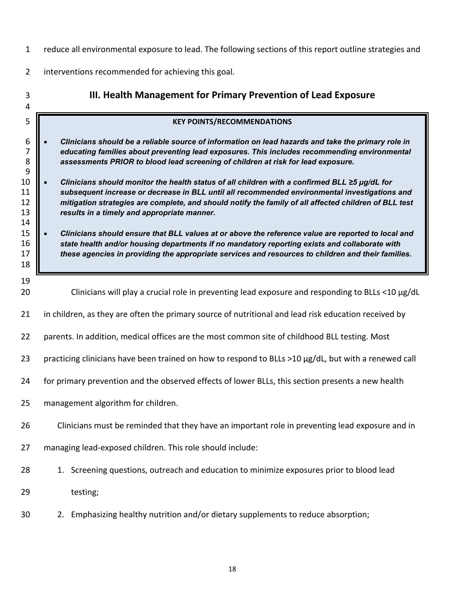- <span id="page-28-0"></span>reduce all environmental exposure to lead. The following sections of this report outline strategies and
- interventions recommended for achieving this goal.

| 3<br>4                                                                              | III. Health Management for Primary Prevention of Lead Exposure                                                                                                                                                                                                                                                                                                                                                                                                                                                                                                                                                                                                                                                                                                                                                                                                                                                                                                |
|-------------------------------------------------------------------------------------|---------------------------------------------------------------------------------------------------------------------------------------------------------------------------------------------------------------------------------------------------------------------------------------------------------------------------------------------------------------------------------------------------------------------------------------------------------------------------------------------------------------------------------------------------------------------------------------------------------------------------------------------------------------------------------------------------------------------------------------------------------------------------------------------------------------------------------------------------------------------------------------------------------------------------------------------------------------|
| 5                                                                                   | <b>KEY POINTS/RECOMMENDATIONS</b>                                                                                                                                                                                                                                                                                                                                                                                                                                                                                                                                                                                                                                                                                                                                                                                                                                                                                                                             |
| 6<br>$\overline{7}$<br>8<br>9<br>10<br>11<br>12<br>13<br>14<br>15<br>16<br>17<br>18 | Clinicians should be a reliable source of information on lead hazards and take the primary role in<br>educating families about preventing lead exposures. This includes recommending environmental<br>assessments PRIOR to blood lead screening of children at risk for lead exposure.<br>Clinicians should monitor the health status of all children with a confirmed BLL ≥5 µg/dL for<br>subsequent increase or decrease in BLL until all recommended environmental investigations and<br>mitigation strategies are complete, and should notify the family of all affected children of BLL test<br>results in a timely and appropriate manner.<br>Clinicians should ensure that BLL values at or above the reference value are reported to local and<br>state health and/or housing departments if no mandatory reporting exists and collaborate with<br>these agencies in providing the appropriate services and resources to children and their families. |
| 19<br>20                                                                            | Clinicians will play a crucial role in preventing lead exposure and responding to BLLs <10 $\mu$ g/dL                                                                                                                                                                                                                                                                                                                                                                                                                                                                                                                                                                                                                                                                                                                                                                                                                                                         |
| 21                                                                                  | in children, as they are often the primary source of nutritional and lead risk education received by                                                                                                                                                                                                                                                                                                                                                                                                                                                                                                                                                                                                                                                                                                                                                                                                                                                          |
| 22                                                                                  | parents. In addition, medical offices are the most common site of childhood BLL testing. Most                                                                                                                                                                                                                                                                                                                                                                                                                                                                                                                                                                                                                                                                                                                                                                                                                                                                 |
| 23                                                                                  | practicing clinicians have been trained on how to respond to BLLs >10 µg/dL, but with a renewed call                                                                                                                                                                                                                                                                                                                                                                                                                                                                                                                                                                                                                                                                                                                                                                                                                                                          |
| 24                                                                                  | for primary prevention and the observed effects of lower BLLs, this section presents a new health                                                                                                                                                                                                                                                                                                                                                                                                                                                                                                                                                                                                                                                                                                                                                                                                                                                             |
| 25                                                                                  | management algorithm for children.                                                                                                                                                                                                                                                                                                                                                                                                                                                                                                                                                                                                                                                                                                                                                                                                                                                                                                                            |
| 26                                                                                  | Clinicians must be reminded that they have an important role in preventing lead exposure and in                                                                                                                                                                                                                                                                                                                                                                                                                                                                                                                                                                                                                                                                                                                                                                                                                                                               |
| 27                                                                                  | managing lead-exposed children. This role should include:                                                                                                                                                                                                                                                                                                                                                                                                                                                                                                                                                                                                                                                                                                                                                                                                                                                                                                     |
| 28                                                                                  | 1. Screening questions, outreach and education to minimize exposures prior to blood lead                                                                                                                                                                                                                                                                                                                                                                                                                                                                                                                                                                                                                                                                                                                                                                                                                                                                      |
| 29                                                                                  | testing;                                                                                                                                                                                                                                                                                                                                                                                                                                                                                                                                                                                                                                                                                                                                                                                                                                                                                                                                                      |
| 30                                                                                  | 2. Emphasizing healthy nutrition and/or dietary supplements to reduce absorption;                                                                                                                                                                                                                                                                                                                                                                                                                                                                                                                                                                                                                                                                                                                                                                                                                                                                             |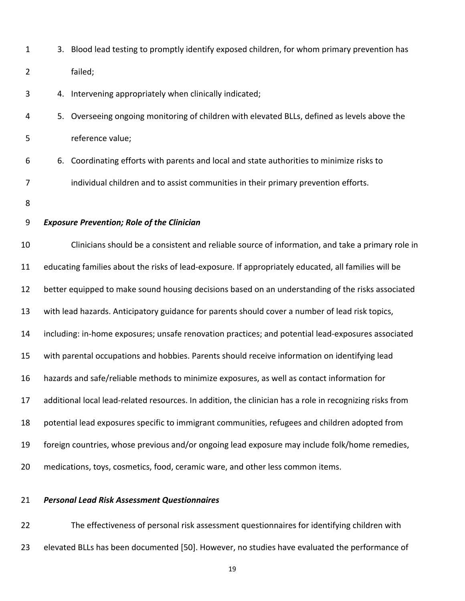|  | 3. Blood lead testing to promptly identify exposed children, for whom primary prevention has |
|--|----------------------------------------------------------------------------------------------|
|  | failed:                                                                                      |
|  | 4. Intervening appropriately when clinically indicated;                                      |

- 4. Intervening appropriately when clinically indicated;
- ongoing monitoring of children with elevated BLLs, defined as levels above the value;
- efforts with parents and local and state authorities to minimize risks to children and to assist communities in their primary prevention efforts. 5. Overseeing ongoing monitoring of children with elevated BLLs, defined as levels above the<br>reference value;<br>6. Coordinating efforts with parents and local and state authorities to minimize risks to<br>individual children an
- 8
- 

#### *Exposure Prevention; Role of the Clinician*

 10 Clinicians should be a consistent and reliable source of information, and take a primary role in 11 educating families about the risks of lead‐exposure. If appropriately educated, all families will be 12 better equipped to make sound housing decisions based on an understanding of the risks associated 13 with lead hazards. Anticipatory guidance for parents should cover a number of lead risk topics, 14 including: in‐home exposures; unsafe renovation practices; and potential lead‐exposures associated 15 with parental occupations and hobbies. Parents should receive information on identifying lead 16 hazards and safe/reliable methods to minimize exposures, as well as contact information for 17 additional local lead-related resources. In addition, the clinician has a role in recognizing risks from 18 potential lead exposures specific to immigrant communities, refugees and children adopted from 19 foreign countries, whose previous and/or ongoing lead exposure may include folk/home remedies, 20 medications, toys, cosmetics, food, ceramic ware, and other less common items.

#### 21 *Personal Lead Risk Assessment Questionnaires*

 22 The effectiveness of personal risk assessment questionnaires for identifying children with 23 elevated BLLs has been documented [50]. However, no studies have evaluated the performance of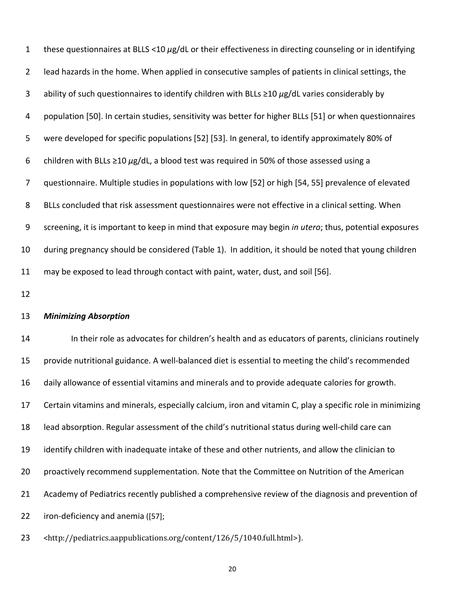| $\mathbf{1}$   | these questionnaires at BLLS <10 $\mu$ g/dL or their effectiveness in directing counseling or in identifying |
|----------------|--------------------------------------------------------------------------------------------------------------|
| $\overline{2}$ | lead hazards in the home. When applied in consecutive samples of patients in clinical settings, the          |
| 3              | ability of such questionnaires to identify children with BLLs $\geq$ 10 $\mu$ g/dL varies considerably by    |
| 4              | population [50]. In certain studies, sensitivity was better for higher BLLs [51] or when questionnaires      |
| 5              | were developed for specific populations [52] [53]. In general, to identify approximately 80% of              |
| 6              | children with BLLs $\geq$ 10 $\mu$ g/dL, a blood test was required in 50% of those assessed using a          |
| $\overline{7}$ | questionnaire. Multiple studies in populations with low [52] or high [54, 55] prevalence of elevated         |
| 8              | BLLs concluded that risk assessment questionnaires were not effective in a clinical setting. When            |
| 9              | screening, it is important to keep in mind that exposure may begin in utero; thus, potential exposures       |
| 10             | during pregnancy should be considered (Table 1). In addition, it should be noted that young children         |
| 11             | may be exposed to lead through contact with paint, water, dust, and soil [56].                               |

#### *Minimizing Absorption* 13

 In their role as advocates for children's health and as educators of parents, clinicians routinely provide nutritional guidance. A well‐balanced diet is essential to meeting the child's recommended daily allowance of essential vitamins and minerals and to provide adequate calories for growth. Certain vitamins and minerals, especially calcium, iron and vitamin C, play a specific role in minimizing lead absorption. Regular assessment of the child's nutritional status during well‐child care can identify children with inadequate intake of these and other nutrients, and allow the clinician to proactively recommend supplementation. Note that the Committee on Nutrition of the American Academy of Pediatrics recently published a comprehensive review of the diagnosis and prevention of iron‐deficiency and anemia ([57]; 14 15 16 17 18 19 20 21 22

23 <http://pediatrics.aappublications.org/content/126/5/1040.full.html>).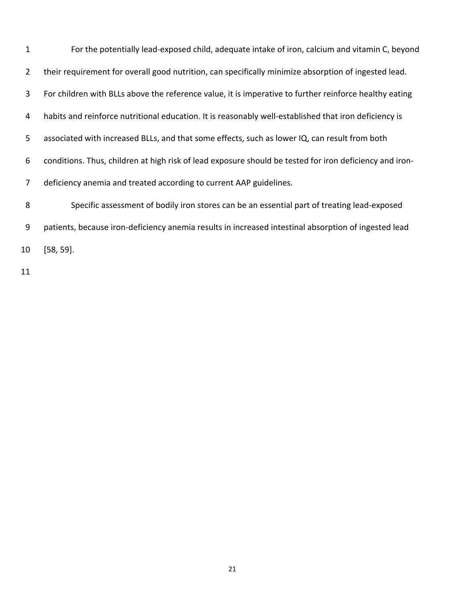For the potentially lead‐exposed child, adequate intake of iron, calcium and vitamin C, beyond their requirement for overall good nutrition, can specifically minimize absorption of ingested lead. For children with BLLs above the reference value, it is imperative to further reinforce healthy eating habits and reinforce nutritional education. It is reasonably well‐established that iron deficiency is associated with increased BLLs, and that some effects, such as lower IQ, can result from both conditions. Thus, children at high risk of lead exposure should be tested for iron deficiency and iron‐ deficiency anemia and treated according to current AAP guidelines. Specific assessment of bodily iron stores can be an essential part of treating lead‐exposed patients, because iron‐deficiency anemia results in increased intestinal absorption of ingested lead [58, 59]. 1 2 3 4 5 6 7 8 9 10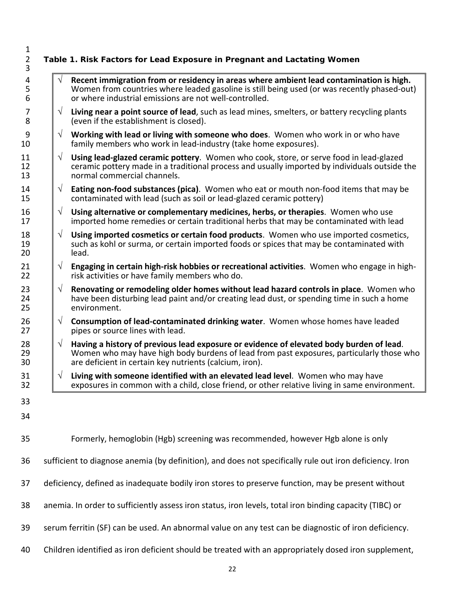| $\mathbf{1}$<br>$\overline{2}$<br>3 |           | Table 1. Risk Factors for Lead Exposure in Pregnant and Lactating Women                                                                                                                                                                          |
|-------------------------------------|-----------|--------------------------------------------------------------------------------------------------------------------------------------------------------------------------------------------------------------------------------------------------|
| 4<br>5<br>6                         | $\sqrt{}$ | Recent immigration from or residency in areas where ambient lead contamination is high.<br>Women from countries where leaded gasoline is still being used (or was recently phased-out)<br>or where industrial emissions are not well-controlled. |
| 7<br>8                              | $\sqrt{}$ | Living near a point source of lead, such as lead mines, smelters, or battery recycling plants<br>(even if the establishment is closed).                                                                                                          |
| 9<br>10                             | $\sqrt{}$ | Working with lead or living with someone who does. Women who work in or who have<br>family members who work in lead-industry (take home exposures).                                                                                              |
| 11<br>12<br>13                      | $\sqrt{}$ | Using lead-glazed ceramic pottery. Women who cook, store, or serve food in lead-glazed<br>ceramic pottery made in a traditional process and usually imported by individuals outside the<br>normal commercial channels.                           |
| 14<br>15                            | $\sqrt{}$ | <b>Eating non-food substances (pica).</b> Women who eat or mouth non-food items that may be<br>contaminated with lead (such as soil or lead-glazed ceramic pottery)                                                                              |
| 16<br>17                            | $\sqrt{}$ | Using alternative or complementary medicines, herbs, or therapies. Women who use<br>imported home remedies or certain traditional herbs that may be contaminated with lead                                                                       |
| 18<br>19<br>20                      | $\sqrt{}$ | Using imported cosmetics or certain food products. Women who use imported cosmetics,<br>such as kohl or surma, or certain imported foods or spices that may be contaminated with<br>lead.                                                        |
| 21<br>22                            | $\sqrt{}$ | Engaging in certain high-risk hobbies or recreational activities. Women who engage in high-<br>risk activities or have family members who do.                                                                                                    |
| 23<br>24<br>25                      | $\sqrt{}$ | Renovating or remodeling older homes without lead hazard controls in place. Women who<br>have been disturbing lead paint and/or creating lead dust, or spending time in such a home<br>environment.                                              |
| 26<br>27                            | $\sqrt{}$ | Consumption of lead-contaminated drinking water. Women whose homes have leaded<br>pipes or source lines with lead.                                                                                                                               |
| 28<br>29<br>30                      | $\sqrt{}$ | Having a history of previous lead exposure or evidence of elevated body burden of lead.<br>Women who may have high body burdens of lead from past exposures, particularly those who<br>are deficient in certain key nutrients (calcium, iron).   |
| 31<br>32                            | $\sqrt{}$ | Living with someone identified with an elevated lead level. Women who may have<br>exposures in common with a child, close friend, or other relative living in same environment.                                                                  |
| 33                                  |           |                                                                                                                                                                                                                                                  |
| 34                                  |           |                                                                                                                                                                                                                                                  |
| 35                                  |           | Formerly, hemoglobin (Hgb) screening was recommended, however Hgb alone is only                                                                                                                                                                  |
| 36                                  |           | sufficient to diagnose anemia (by definition), and does not specifically rule out iron deficiency. Iron                                                                                                                                          |
| 37                                  |           | deficiency, defined as inadequate bodily iron stores to preserve function, may be present without                                                                                                                                                |
| 38                                  |           | anemia. In order to sufficiently assess iron status, iron levels, total iron binding capacity (TIBC) or                                                                                                                                          |
| 39                                  |           | serum ferritin (SF) can be used. An abnormal value on any test can be diagnostic of iron deficiency.                                                                                                                                             |
|                                     |           |                                                                                                                                                                                                                                                  |

40 Children identified as iron deficient should be treated with an appropriately dosed iron supplement,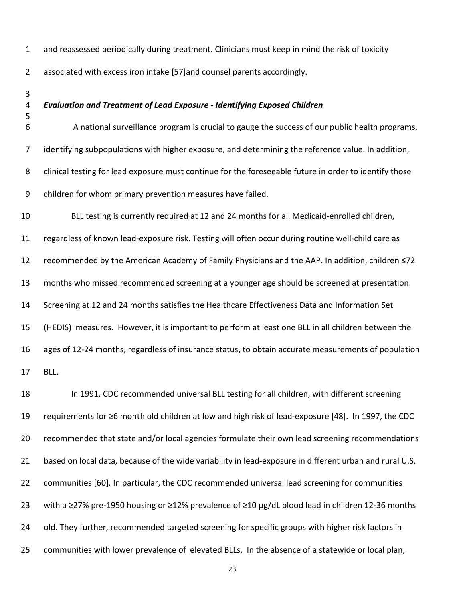and reassessed periodically during treatment. Clinicians must keep in mind the risk of toxicity

associated with excess iron intake [57]and counsel parents accordingly.

- 
- 

#### *Evaluation and Treatment of Lead Exposure ‐ Identifying Exposed Children*

 A national surveillance program is crucial to gauge the success of our public health programs, identifying subpopulations with higher exposure, and determining the reference value. In addition, clinical testing for lead exposure must continue for the foreseeable future in order to identify those children for whom primary prevention measures have failed.

10 BLL testing is currently required at 12 and 24 months for all Medicaid-enrolled children, regardless of known lead‐exposure risk. Testing will often occur during routine well‐child care as recommended by the American Academy of Family Physicians and the AAP. In addition, children ≤72 months who missed recommended screening at a younger age should be screened at presentation. Screening at 12 and 24 months satisfies the Healthcare Effectiveness Data and Information Set (HEDIS) measures. However, it is important to perform at least one BLL in all children between the 16 ages of 12-24 months, regardless of insurance status, to obtain accurate measurements of population BLL.

 In 1991, CDC recommended universal BLL testing for all children, with different screening requirements for ≥6 month old children at low and high risk of lead‐exposure [48]. In 1997, the CDC recommended that state and/or local agencies formulate their own lead screening recommendations 21 based on local data, because of the wide variability in lead-exposure in different urban and rural U.S. communities [60]. In particular, the CDC recommended universal lead screening for communities with a ≥27% pre‐1950 housing or ≥12% prevalence of ≥10 µg/dL blood lead in children 12‐36 months 24 old. They further, recommended targeted screening for specific groups with higher risk factors in communities with lower prevalence of elevated BLLs. In the absence of a statewide or local plan,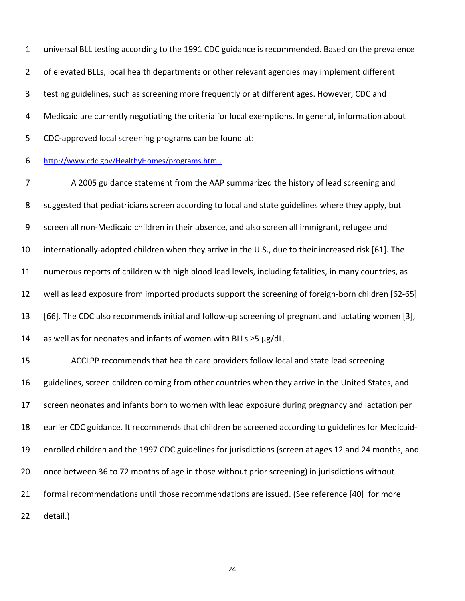universal BLL testing according to the 1991 CDC guidance is recommended. Based on the prevalence 2 of elevated BLLs, local health departments or other relevant agencies may implement different testing guidelines, such as screening more frequently or at different ages. However, CDC and Medicaid are currently negotiating the criteria for local exemptions. In general, information about CDC‐approved local screening programs can be found at:

 http://www.cdc.gov/HealthyHomes/programs.html.

 A 2005 guidance statement from the AAP summarized the history of lead screening and 8 suggested that pediatricians screen according to local and state guidelines where they apply, but screen all non‐Medicaid children in their absence, and also screen all immigrant, refugee and internationally‐adopted children when they arrive in the U.S., due to their increased risk [61]. The numerous reports of children with high blood lead levels, including fatalities, in many countries, as well as lead exposure from imported products support the screening of foreign‐born children [62‐65] [66]. The CDC also recommends initial and follow‐up screening of pregnant and lactating women [3], 14 as well as for neonates and infants of women with BLLs  $\geq$ 5 µg/dL. ACCLPP recommends that health care providers follow local and state lead screening 16 guidelines, screen children coming from other countries when they arrive in the United States, and screen neonates and infants born to women with lead exposure during pregnancy and lactation per earlier CDC guidance. It recommends that children be screened according to guidelines for Medicaid‐ enrolled children and the 1997 CDC guidelines for jurisdictions (screen at ages 12 and 24 months, and once between 36 to 72 months of age in those without prior screening) in jurisdictions without formal recommendations until those recommendations are issued. (See reference [40] for more detail.)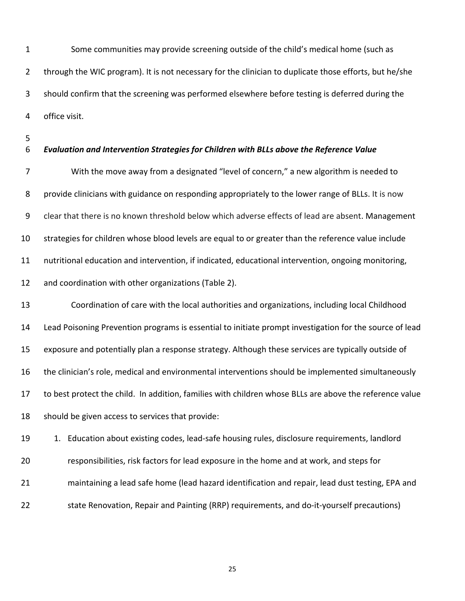Some communities may provide screening outside of the child's medical home (such as 2 through the WIC program). It is not necessary for the clinician to duplicate those efforts, but he/she should confirm that the screening was performed elsewhere before testing is deferred during the office visit.

- 
- 

#### *Evaluation and Intervention Strategies for Children with BLLs above the Reference Value*

 With the move away from a designated "level of concern," a new algorithm is needed to provide clinicians with guidance on responding appropriately to the lower range of BLLs. It is now clear that there is no known threshold below which adverse effects of lead are absent. Management strategies for children whose blood levels are equal to or greater than the reference value include nutritional education and intervention, if indicated, educational intervention, ongoing monitoring, and coordination with other organizations (Table 2).

 Coordination of care with the local authorities and organizations, including local Childhood Lead Poisoning Prevention programs is essential to initiate prompt investigation for the source of lead exposure and potentially plan a response strategy. Although these services are typically outside of the clinician's role, medical and environmental interventions should be implemented simultaneously to best protect the child. In addition, families with children whose BLLs are above the reference value should be given access to services that provide:

19 1. Education about existing codes, lead-safe housing rules, disclosure requirements, landlord responsibilities, risk factors for lead exposure in the home and at work, and steps for maintaining a lead safe home (lead hazard identification and repair, lead dust testing, EPA and 22 state Renovation, Repair and Painting (RRP) requirements, and do-it-yourself precautions)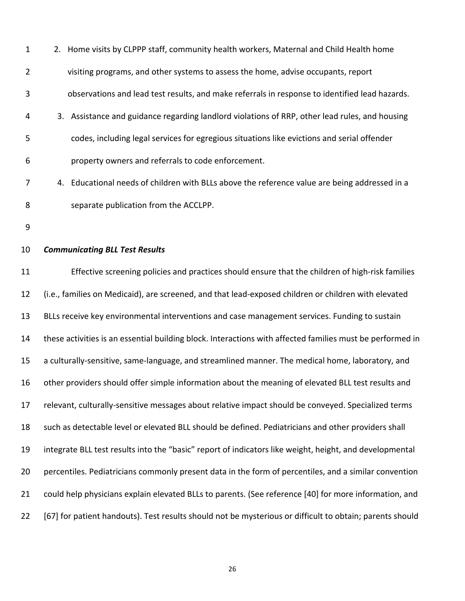| $\mathbf{1}$   | 2. Home visits by CLPPP staff, community health workers, Maternal and Child Health home        |
|----------------|------------------------------------------------------------------------------------------------|
| $\overline{2}$ | visiting programs, and other systems to assess the home, advise occupants, report              |
| 3              | observations and lead test results, and make referrals in response to identified lead hazards. |
| $\overline{4}$ | 3. Assistance and guidance regarding landlord violations of RRP, other lead rules, and housing |
| 5              | codes, including legal services for egregious situations like evictions and serial offender    |
| 6              | property owners and referrals to code enforcement.                                             |

- 4. Educational needs of children with BLLs above the reference value are being addressed in a separate publication from the ACCLPP. 7 8
- 9

#### *Communicating BLL Test Results* 10

 Effective screening policies and practices should ensure that the children of high‐risk families (i.e., families on Medicaid), are screened, and that lead‐exposed children or children with elevated BLLs receive key environmental interventions and case management services. Funding to sustain these activities is an essential building block. Interactions with affected families must be performed in a culturally‐sensitive, same‐language, and streamlined manner. The medical home, laboratory, and other providers should offer simple information about the meaning of elevated BLL test results and relevant, culturally‐sensitive messages about relative impact should be conveyed. Specialized terms such as detectable level or elevated BLL should be defined. Pediatricians and other providers shall integrate BLL test results into the "basic" report of indicators like weight, height, and developmental percentiles. Pediatricians commonly present data in the form of percentiles, and a similar convention could help physicians explain elevated BLLs to parents. (See reference [40] for more information, and [67] for patient handouts). Test results should not be mysterious or difficult to obtain; parents should 11 12 13 14 15 16 17 18 19 20 21 22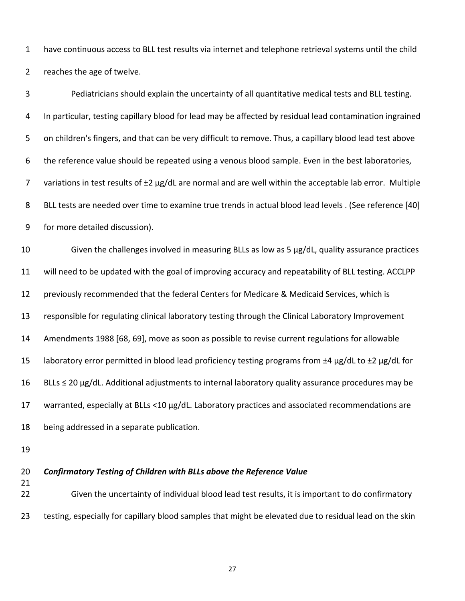| $\mathbf{1}$   | have continuous access to BLL test results via internet and telephone retrieval systems until the child  |
|----------------|----------------------------------------------------------------------------------------------------------|
| $\overline{2}$ | reaches the age of twelve.                                                                               |
| $\mathbf{3}$   | Pediatricians should explain the uncertainty of all quantitative medical tests and BLL testing.          |
| 4              | In particular, testing capillary blood for lead may be affected by residual lead contamination ingrained |
| 5              | on children's fingers, and that can be very difficult to remove. Thus, a capillary blood lead test above |
| 6              | the reference value should be repeated using a venous blood sample. Even in the best laboratories,       |
| 7              | variations in test results of ±2 µg/dL are normal and are well within the acceptable lab error. Multiple |
| 8              | BLL tests are needed over time to examine true trends in actual blood lead levels . (See reference [40]  |
| 9              | for more detailed discussion).                                                                           |
| 10             | Given the challenges involved in measuring BLLs as low as 5 µg/dL, quality assurance practices           |
| 11             | will need to be updated with the goal of improving accuracy and repeatability of BLL testing. ACCLPP     |
| 12             | previously recommended that the federal Centers for Medicare & Medicaid Services, which is               |
| 13             | responsible for regulating clinical laboratory testing through the Clinical Laboratory Improvement       |
| 14             | Amendments 1988 [68, 69], move as soon as possible to revise current regulations for allowable           |
| 15             | laboratory error permitted in blood lead proficiency testing programs from ±4 µg/dL to ±2 µg/dL for      |
| 16             | BLLs ≤ 20 µg/dL. Additional adjustments to internal laboratory quality assurance procedures may be       |
| 17             | warranted, especially at BLLs <10 µg/dL. Laboratory practices and associated recommendations are         |
| 18             | being addressed in a separate publication.                                                               |
| 19             |                                                                                                          |
| 20             | Confirmatory Testing of Children with BLLs above the Reference Value                                     |

#### **Testing of Children with BLLs above the Reference Value**

21

 22 Given the uncertainty of individual blood lead test results, it is important to do confirmatory 23 testing, especially for capillary blood samples that might be elevated due to residual lead on the skin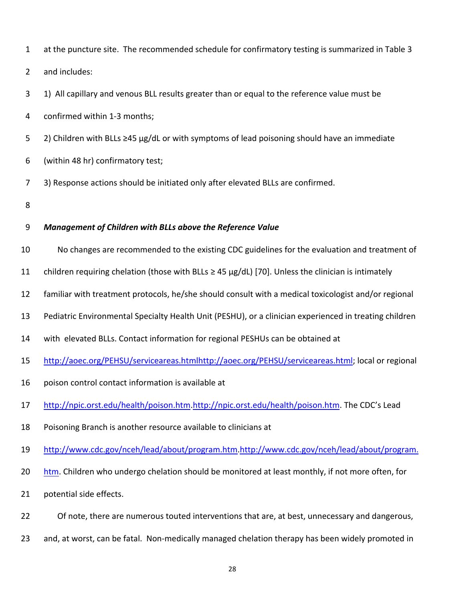| $\mathbf{1}$   | at the puncture site. The recommended schedule for confirmatory testing is summarized in Table 3        |
|----------------|---------------------------------------------------------------------------------------------------------|
| $\overline{2}$ | and includes:                                                                                           |
| 3              | 1) All capillary and venous BLL results greater than or equal to the reference value must be            |
| 4              | confirmed within 1-3 months;                                                                            |
| 5              | 2) Children with BLLs ≥45 µg/dL or with symptoms of lead poisoning should have an immediate             |
| 6              | (within 48 hr) confirmatory test;                                                                       |
| 7              | 3) Response actions should be initiated only after elevated BLLs are confirmed.                         |
| 8              |                                                                                                         |
| 9              | Management of Children with BLLs above the Reference Value                                              |
| 10             | No changes are recommended to the existing CDC guidelines for the evaluation and treatment of           |
| 11             | children requiring chelation (those with BLLs $\geq$ 45 µg/dL) [70]. Unless the clinician is intimately |
| 12             | familiar with treatment protocols, he/she should consult with a medical toxicologist and/or regional    |
| 13             | Pediatric Environmental Specialty Health Unit (PESHU), or a clinician experienced in treating children  |
| 14             | with elevated BLLs. Contact information for regional PESHUs can be obtained at                          |
| 15             | http://aoec.org/PEHSU/serviceareas.htmlhttp://aoec.org/PEHSU/serviceareas.html; local or regional       |
| 16             | poison control contact information is available at                                                      |
| 17             | http://npic.orst.edu/health/poison.htm.http://npic.orst.edu/health/poison.htm. The CDC's Lead           |
| 18             | Poisoning Branch is another resource available to clinicians at                                         |
| 19             | http://www.cdc.gov/nceh/lead/about/program.htm.http://www.cdc.gov/nceh/lead/about/program.              |
| 20             | htm. Children who undergo chelation should be monitored at least monthly, if not more often, for        |
| 21             | potential side effects.                                                                                 |
| 22             | Of note, there are numerous touted interventions that are, at best, unnecessary and dangerous,          |

23 and, at worst, can be fatal. Non-medically managed chelation therapy has been widely promoted in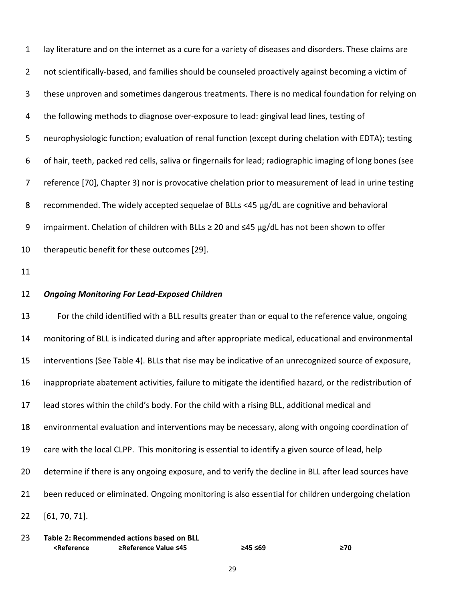lay literature and on the internet as a cure for a variety of diseases and disorders. These claims are not scientifically‐based, and families should be counseled proactively against becoming a victim of these unproven and sometimes dangerous treatments. There is no medical foundation for relying on the following methods to diagnose over‐exposure to lead: gingival lead lines, testing of neurophysiologic function; evaluation of renal function (except during chelation with EDTA); testing of hair, teeth, packed red cells, saliva or fingernails for lead; radiographic imaging of long bones (see reference [70], Chapter 3) nor is provocative chelation prior to measurement of lead in urine testing recommended. The widely accepted sequelae of BLLs <45 µg/dL are cognitive and behavioral impairment. Chelation of children with BLLs ≥ 20 and ≤45 µg/dL has not been shown to offer therapeutic benefit for these outcomes [29]. 1 2 3 4 5 6 7 8 9 10

11

#### *Ongoing Monitoring For Lead‐Exposed Children* 12

 For the child identified with a BLL results greater than or equal to the reference value, ongoing monitoring of BLL is indicated during and after appropriate medical, educational and environmental interventions (See Table 4). BLLs that rise may be indicative of an unrecognized source of exposure, inappropriate abatement activities, failure to mitigate the identified hazard, or the redistribution of lead stores within the child's body. For the child with a rising BLL, additional medical and environmental evaluation and interventions may be necessary, along with ongoing coordination of care with the local CLPP. This monitoring is essential to identify a given source of lead, help determine if there is any ongoing exposure, and to verify the decline in BLL after lead sources have been reduced or eliminated. Ongoing monitoring is also essential for children undergoing chelation [61, 70, 71]. 13 14 15 16 17 18 19 20 21 22

 **Table 2: Recommended actions based on BLL** 23 **<Reference ≥Reference Value ≤45 ≥45 ≤69 ≥70**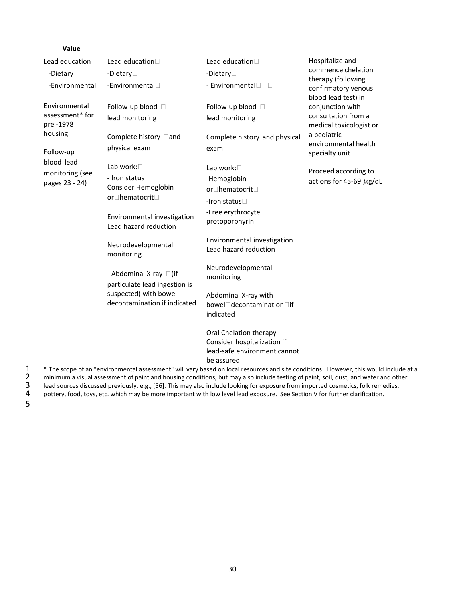| Value                             |                                                         |                                                                                                                                                                                                                                                                              |                                                                                                         |
|-----------------------------------|---------------------------------------------------------|------------------------------------------------------------------------------------------------------------------------------------------------------------------------------------------------------------------------------------------------------------------------------|---------------------------------------------------------------------------------------------------------|
| Lead education                    | Lead education <sup>[1]</sup>                           | Lead education <sup>[1]</sup>                                                                                                                                                                                                                                                | Hospitalize and                                                                                         |
| -Dietary                          | -Dietary <sup>[1]</sup>                                 | -Dietary $\Box$                                                                                                                                                                                                                                                              | commence chelation<br>therapy (following                                                                |
| -Environmental                    | -Environmental <sup>[1]</sup>                           | - Environmental <sup>[1]</sup><br>$\Box$                                                                                                                                                                                                                                     | confirmatory venous<br>blood lead test) in                                                              |
| Environmental                     | Follow-up blood $\square$                               | Follow-up blood $\Box$                                                                                                                                                                                                                                                       | conjunction with                                                                                        |
| assessment* for<br>pre -1978      | lead monitoring                                         | lead monitoring                                                                                                                                                                                                                                                              | consultation from a<br>medical toxicologist or<br>a pediatric<br>environmental health<br>specialty unit |
| housing                           | Complete history □and                                   | Complete history and physical                                                                                                                                                                                                                                                |                                                                                                         |
| Follow-up                         | physical exam                                           | exam                                                                                                                                                                                                                                                                         |                                                                                                         |
| blood lead                        | Lab work:                                               | Lab work:□                                                                                                                                                                                                                                                                   | Proceed according to                                                                                    |
| monitoring (see<br>pages 23 - 24) | - Iron status                                           | -Hemoglobin                                                                                                                                                                                                                                                                  | actions for 45-69 $\mu$ g/dL                                                                            |
|                                   | Consider Hemoglobin                                     | or□hematocrit□                                                                                                                                                                                                                                                               |                                                                                                         |
|                                   | or□hematocrit□                                          | -Iron status□                                                                                                                                                                                                                                                                |                                                                                                         |
|                                   | Environmental investigation<br>Lead hazard reduction    | -Free erythrocyte<br>protoporphyrin                                                                                                                                                                                                                                          |                                                                                                         |
|                                   | Neurodevelopmental<br>monitoring                        | Environmental investigation<br>Lead hazard reduction                                                                                                                                                                                                                         |                                                                                                         |
|                                   | - Abdominal X-ray □(if<br>particulate lead ingestion is | Neurodevelopmental                                                                                                                                                                                                                                                           |                                                                                                         |
|                                   |                                                         | monitoring                                                                                                                                                                                                                                                                   |                                                                                                         |
|                                   | suspected) with bowel                                   | Abdominal X-ray with                                                                                                                                                                                                                                                         |                                                                                                         |
|                                   | decontamination if indicated                            | bowel□decontamination□if<br>indicated                                                                                                                                                                                                                                        |                                                                                                         |
|                                   |                                                         | Oral Chelation therapy                                                                                                                                                                                                                                                       |                                                                                                         |
|                                   |                                                         | Consider hospitalization if<br>lead-safe environment cannot                                                                                                                                                                                                                  |                                                                                                         |
|                                   |                                                         | be assured                                                                                                                                                                                                                                                                   |                                                                                                         |
|                                   |                                                         | * The scope of an "environmental assessment" will vary based on local resources and site conditions. However, this would include at a<br>minimum a visual assessment of paint and housing conditions, but may also include testing of paint, soil, dust, and water and other |                                                                                                         |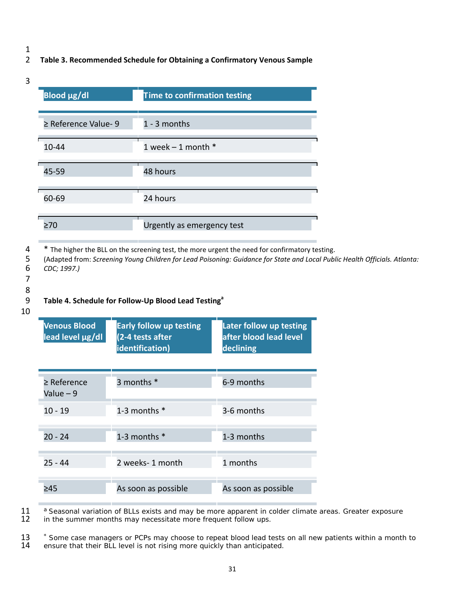## 2 **Table 3. Recommended Schedule for Obtaining a Confirmatory Venous Sample**

3

| <b>Blood µg/dl</b>        | <b>Time to confirmation testing</b> |
|---------------------------|-------------------------------------|
| $\geq$ Reference Value- 9 | 1 - 3 months                        |
| 10-44                     | 1 week $-$ 1 month $*$              |
| 45-59                     | 48 hours                            |
| 60-69                     | 24 hours                            |
| $\geq 70$                 | Urgently as emergency test          |

 $4$   $*$  The higher the BLL on the screening test, the more urgent the need for confirmatory testing.  $\overline{4}$ 

5 (Adapted from: Screening Young Children for Lead Poisoning: Guidance for State and Local Public Health Officials. Atlanta:  6 *CDC; 1997.)*

 7 8

# 9 **Table 4. Schedule for Follow‐Up Blood Lead Testing<sup>a</sup>**

#### 10

| <b>Venous Blood</b><br>lead level µg/dl | <b>Early follow up testing</b><br>(2-4 tests after<br>identification) | Later follow up testing<br>after blood lead level<br>declining |
|-----------------------------------------|-----------------------------------------------------------------------|----------------------------------------------------------------|
| $\geq$ Reference<br>Value - 9           | 3 months *                                                            | 6-9 months                                                     |
| $10 - 19$                               | 1-3 months $*$                                                        | 3-6 months                                                     |
| $20 - 24$                               | 1-3 months $*$                                                        | 1-3 months                                                     |
| $25 - 44$                               | 2 weeks- 1 month                                                      | 1 months                                                       |
| >45                                     | As soon as possible                                                   | As soon as possible                                            |

11 a Seasonal variation of BLLs exists and may be more apparent in colder climate areas. Greater exposure 12 in the summer months may necessitate more frequent follow ups. in the summer months may necessitate more frequent follow ups.

<sup>\*</sup> Some case managers or PCPs may choose to repeat blood lead tests on all new patients within a month to<br>14 ensure that their BLL level is not rising more quickly than anticipated. ensure that their BLL level is not rising more quickly than anticipated.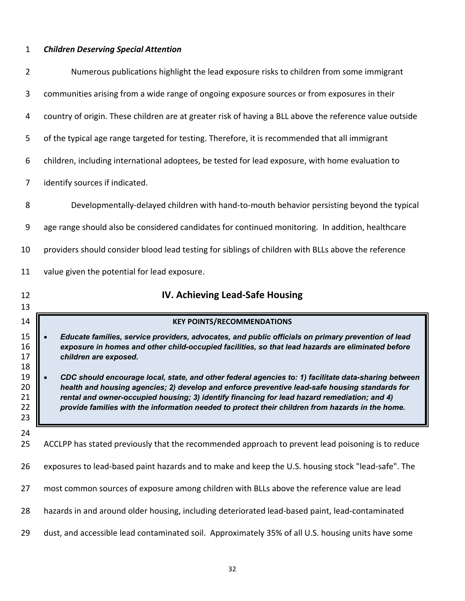## <span id="page-42-0"></span> *Children Deserving Special Attention*

| $\overline{2}$                                                 | Numerous publications highlight the lead exposure risks to children from some immigrant                                                                                                                                                                                                                                                                                                                                                                                                                                                                                                                                                        |
|----------------------------------------------------------------|------------------------------------------------------------------------------------------------------------------------------------------------------------------------------------------------------------------------------------------------------------------------------------------------------------------------------------------------------------------------------------------------------------------------------------------------------------------------------------------------------------------------------------------------------------------------------------------------------------------------------------------------|
| 3                                                              | communities arising from a wide range of ongoing exposure sources or from exposures in their                                                                                                                                                                                                                                                                                                                                                                                                                                                                                                                                                   |
| 4                                                              | country of origin. These children are at greater risk of having a BLL above the reference value outside                                                                                                                                                                                                                                                                                                                                                                                                                                                                                                                                        |
| 5                                                              | of the typical age range targeted for testing. Therefore, it is recommended that all immigrant                                                                                                                                                                                                                                                                                                                                                                                                                                                                                                                                                 |
| 6                                                              | children, including international adoptees, be tested for lead exposure, with home evaluation to                                                                                                                                                                                                                                                                                                                                                                                                                                                                                                                                               |
| 7                                                              | identify sources if indicated.                                                                                                                                                                                                                                                                                                                                                                                                                                                                                                                                                                                                                 |
| 8                                                              | Developmentally-delayed children with hand-to-mouth behavior persisting beyond the typical                                                                                                                                                                                                                                                                                                                                                                                                                                                                                                                                                     |
| 9                                                              | age range should also be considered candidates for continued monitoring. In addition, healthcare                                                                                                                                                                                                                                                                                                                                                                                                                                                                                                                                               |
| 10                                                             | providers should consider blood lead testing for siblings of children with BLLs above the reference                                                                                                                                                                                                                                                                                                                                                                                                                                                                                                                                            |
| 11                                                             | value given the potential for lead exposure.                                                                                                                                                                                                                                                                                                                                                                                                                                                                                                                                                                                                   |
| 12                                                             | IV. Achieving Lead-Safe Housing                                                                                                                                                                                                                                                                                                                                                                                                                                                                                                                                                                                                                |
|                                                                |                                                                                                                                                                                                                                                                                                                                                                                                                                                                                                                                                                                                                                                |
| 13<br>14                                                       | <b>KEY POINTS/RECOMMENDATIONS</b>                                                                                                                                                                                                                                                                                                                                                                                                                                                                                                                                                                                                              |
|                                                                | Educate families, service providers, advocates, and public officials on primary prevention of lead<br>exposure in homes and other child-occupied facilities, so that lead hazards are eliminated before<br>children are exposed.<br>CDC should encourage local, state, and other federal agencies to: 1) facilitate data-sharing between<br>health and housing agencies; 2) develop and enforce preventive lead-safe housing standards for<br>rental and owner-occupied housing; 3) identify financing for lead hazard remediation; and 4)<br>provide families with the information needed to protect their children from hazards in the home. |
| 15<br>16<br>17<br>18<br>19<br>20<br>21<br>22<br>23<br>24<br>25 | ACCLPP has stated previously that the recommended approach to prevent lead poisoning is to reduce                                                                                                                                                                                                                                                                                                                                                                                                                                                                                                                                              |
| 26                                                             | exposures to lead-based paint hazards and to make and keep the U.S. housing stock "lead-safe". The                                                                                                                                                                                                                                                                                                                                                                                                                                                                                                                                             |
| 27                                                             | most common sources of exposure among children with BLLs above the reference value are lead                                                                                                                                                                                                                                                                                                                                                                                                                                                                                                                                                    |
| 28                                                             | hazards in and around older housing, including deteriorated lead-based paint, lead-contaminated                                                                                                                                                                                                                                                                                                                                                                                                                                                                                                                                                |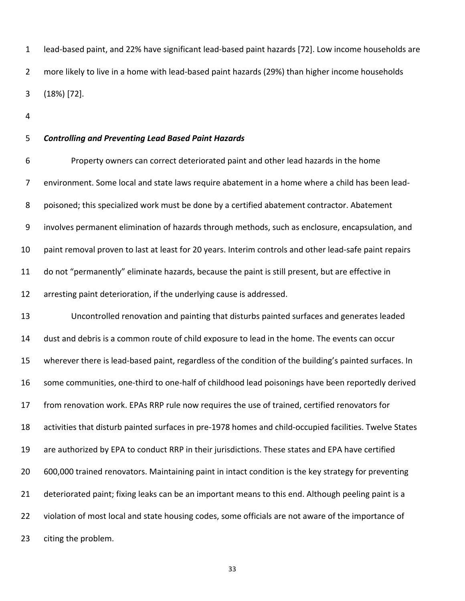lead‐based paint, and 22% have significant lead‐based paint hazards [72]. Low income households are more likely to live in a home with lead‐based paint hazards (29%) than higher income households (18%) [72]. 2 3

4

#### *Controlling and Preventing Lead Based Paint Hazards* 5

 Property owners can correct deteriorated paint and other lead hazards in the home environment. Some local and state laws require abatement in a home where a child has been lead‐ poisoned; this specialized work must be done by a certified abatement contractor. Abatement involves permanent elimination of hazards through methods, such as enclosure, encapsulation, and paint removal proven to last at least for 20 years. Interim controls and other lead‐safe paint repairs do not "permanently" eliminate hazards, because the paint is still present, but are effective in arresting paint deterioration, if the underlying cause is addressed. 1 lead-based paint, ar<br>
2 more likely to live in<br>
3 (18%) [72].<br>
4<br>
5 **Controlling and Pre**<br>
6 Property ow<br>
7 environment. Some<br>
8 poisoned; this speci<br>
9 involves permanent<br>
0 paint removal prove<br>
1 do not "permanent!<br>
2 6 7 8 9 10 11 12

 Uncontrolled renovation and painting that disturbs painted surfaces and generates leaded dust and debris is a common route of child exposure to lead in the home. The events can occur wherever there is lead‐based paint, regardless of the condition of the building's painted surfaces. In some communities, one‐third to one‐half of childhood lead poisonings have been reportedly derived from renovation work. EPAs RRP rule now requires the use of trained, certified renovators for activities that disturb painted surfaces in pre‐1978 homes and child‐occupied facilities. Twelve States are authorized by EPA to conduct RRP in their jurisdictions. These states and EPA have certified 600,000 trained renovators. Maintaining paint in intact condition is the key strategy for preventing deteriorated paint; fixing leaks can be an important means to this end. Although peeling paint is a violation of most local and state housing codes, some officials are not aware of the importance of citing the problem. 13 14 15 16 17 18 19 20 21 22 23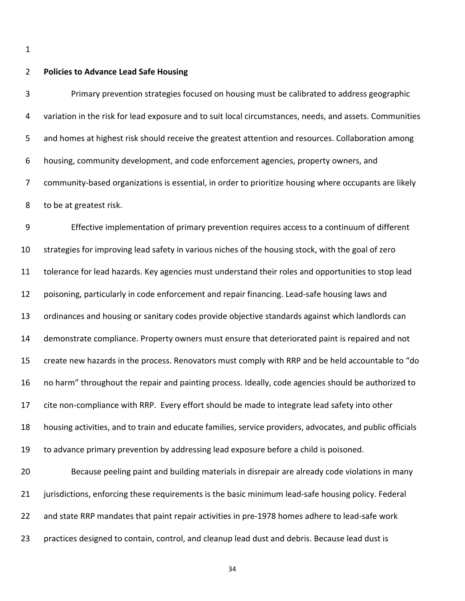#### **Policies to Advance Lead Safe Housing** 2

 Primary prevention strategies focused on housing must be calibrated to address geographic variation in the risk for lead exposure and to suit local circumstances, needs, and assets. Communities and homes at highest risk should receive the greatest attention and resources. Collaboration among housing, community development, and code enforcement agencies, property owners, and community‐based organizations is essential, in order to prioritize housing where occupants are likely to be at greatest risk. 3 4 5 6 7 8

 Effective implementation of primary prevention requires access to a continuum of different strategies for improving lead safety in various niches of the housing stock, with the goal of zero tolerance for lead hazards. Key agencies must understand their roles and opportunities to stop lead poisoning, particularly in code enforcement and repair financing. Lead‐safe housing laws and ordinances and housing or sanitary codes provide objective standards against which landlords can demonstrate compliance. Property owners must ensure that deteriorated paint is repaired and not create new hazards in the process. Renovators must comply with RRP and be held accountable to "do no harm" throughout the repair and painting process. Ideally, code agencies should be authorized to cite non‐compliance with RRP. Every effort should be made to integrate lead safety into other housing activities, and to train and educate families, service providers, advocates, and public officials to advance primary prevention by addressing lead exposure before a child is poisoned. Because peeling paint and building materials in disrepair are already code violations in many 9 10 11 12 13 14 15 16 17 18 19 20

 jurisdictions, enforcing these requirements is the basic minimum lead‐safe housing policy. Federal and state RRP mandates that paint repair activities in pre‐1978 homes adhere to lead‐safe work practices designed to contain, control, and cleanup lead dust and debris. Because lead dust is 21 22 23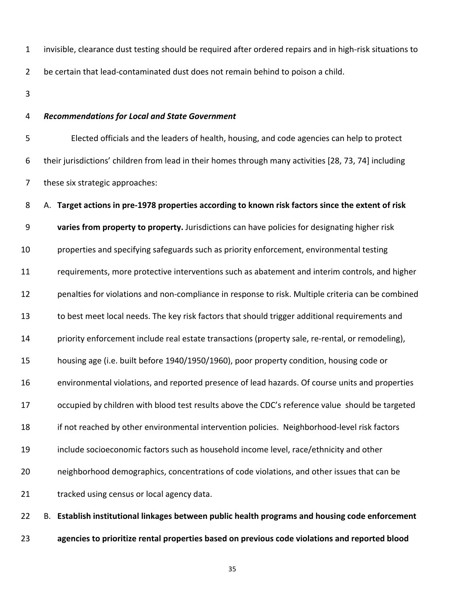invisible, clearance dust testing should be required after ordered repairs and in high‐risk situations to 1

 be certain that lead‐contaminated dust does not remain behind to poison a child. 2

3

#### *Recommendations for Local and State Government* 4

 Elected officials and the leaders of health, housing, and code agencies can help to protect their jurisdictions' children from lead in their homes through many activities [28, 73, 74] including these six strategic approaches: 5 6 7

#### A. Target actions in pre-1978 properties according to known risk factors since the extent of risk 8

 **varies from property to property.** Jurisdictions can have policies for designating higher risk 9

 properties and specifying safeguards such as priority enforcement, environmental testing 10

 requirements, more protective interventions such as abatement and interim controls, and higher 11

 penalties for violations and non‐compliance in response to risk. Multiple criteria can be combined 12

 to best meet local needs. The key risk factors that should trigger additional requirements and 13

 priority enforcement include real estate transactions (property sale, re‐rental, or remodeling), 14

 housing age (i.e. built before 1940/1950/1960), poor property condition, housing code or 15

 environmental violations, and reported presence of lead hazards. Of course units and properties 16

 occupied by children with blood test results above the CDC's reference value should be targeted 17

 if not reached by other environmental intervention policies. Neighborhood‐level risk factors 18

 include socioeconomic factors such as household income level, race/ethnicity and other 19

 neighborhood demographics, concentrations of code violations, and other issues that can be 20

 tracked using census or local agency data. 21

 B.**Establish institutional linkages between public health programs and housing code enforcement agencies to prioritize rental properties based on previous code violations and reported blood** 22 23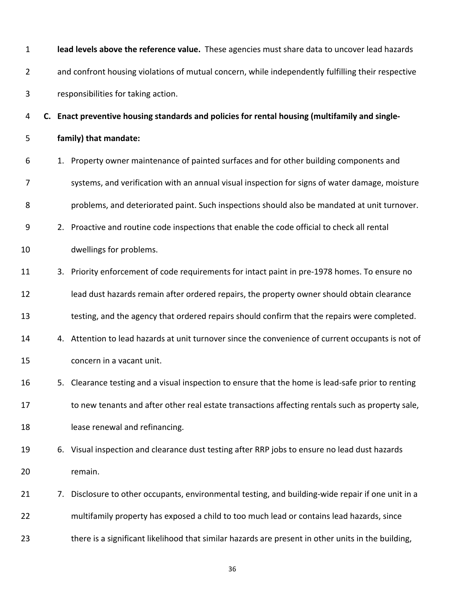| 1            |    | lead levels above the reference value. These agencies must share data to uncover lead hazards      |
|--------------|----|----------------------------------------------------------------------------------------------------|
| 2            |    | and confront housing violations of mutual concern, while independently fulfilling their respective |
| $\mathbf{3}$ |    | responsibilities for taking action.                                                                |
| 4            |    | C. Enact preventive housing standards and policies for rental housing (multifamily and single-     |
| 5            |    | family) that mandate:                                                                              |
| 6            |    | 1. Property owner maintenance of painted surfaces and for other building components and            |
| 7            |    | systems, and verification with an annual visual inspection for signs of water damage, moisture     |
| 8            |    | problems, and deteriorated paint. Such inspections should also be mandated at unit turnover.       |
| 9            |    | 2. Proactive and routine code inspections that enable the code official to check all rental        |
| 10           |    | dwellings for problems.                                                                            |
| 11           |    | 3. Priority enforcement of code requirements for intact paint in pre-1978 homes. To ensure no      |
| 12           |    | lead dust hazards remain after ordered repairs, the property owner should obtain clearance         |
| 13           |    | testing, and the agency that ordered repairs should confirm that the repairs were completed.       |
| 14           |    | 4. Attention to lead hazards at unit turnover since the convenience of current occupants is not of |
| 15           |    | concern in a vacant unit.                                                                          |
| 16           |    | 5. Clearance testing and a visual inspection to ensure that the home is lead-safe prior to renting |
| 17           |    | to new tenants and after other real estate transactions affecting rentals such as property sale,   |
| 18           |    | lease renewal and refinancing.                                                                     |
| 19           | 6. | Visual inspection and clearance dust testing after RRP jobs to ensure no lead dust hazards         |
| 20           |    | remain.                                                                                            |
| 21           | 7. | Disclosure to other occupants, environmental testing, and building-wide repair if one unit in a    |
| 22           |    | multifamily property has exposed a child to too much lead or contains lead hazards, since          |
| 23           |    | there is a significant likelihood that similar hazards are present in other units in the building, |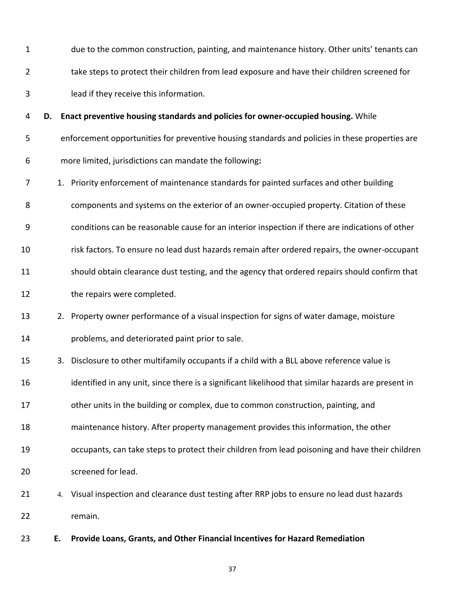- due to the common construction, painting, and maintenance history. Other units' tenants can take steps to protect their children from lead exposure and have their children screened for lead if they receive this information. 1 2 3
- **D.Enact preventive housing standards and policies for owner‐occupied housing.** While 4
- enforcement opportunities for preventive housing standards and policies in these properties are 5
- more limited, jurisdictions can mandate the following**:** 6
- 1. Priority enforcement of maintenance standards for painted surfaces and other building 7
- components and systems on the exterior of an owner‐occupied property. Citation of these 8
- conditions can be reasonable cause for an interior inspection if there are indications of other 9
- risk factors. To ensure no lead dust hazards remain after ordered repairs, the owner‐occupant 10
- should obtain clearance dust testing, and the agency that ordered repairs should confirm that 11
- the repairs were completed. 12
- 2. Property owner performance of a visual inspection for signs of water damage, moisture problems, and deteriorated paint prior to sale. 13 14
- 3. Disclosure to other multifamily occupants if a child with a BLL above reference value is 15
- identified in any unit, since there is a significant likelihood that similar hazards are present in 16
- other units in the building or complex, due to common construction, painting, and 17
- maintenance history. After property management provides this information, the other 18
- occupants, can take steps to protect their children from lead poisoning and have their children screened for lead. 19 20
- 4. Visual inspection and clearance dust testing after RRP jobs to ensure no lead dust hazards 21 22 remain.
- **E.Provide Loans, Grants, and Other Financial Incentives for Hazard Remediation** E. 23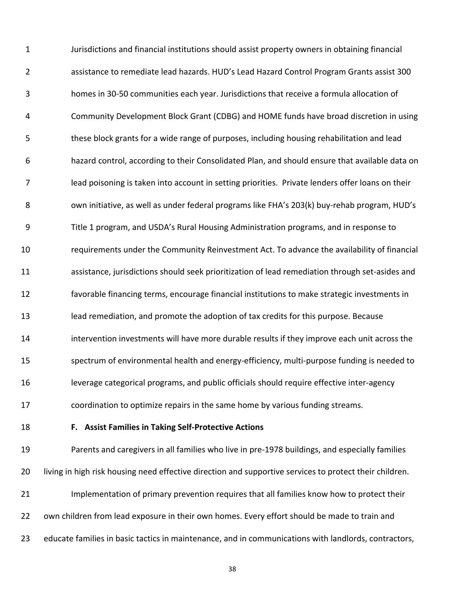Jurisdictions and financial institutions should assist property owners in obtaining financial assistance to remediate lead hazards. HUD's Lead Hazard Control Program Grants assist 300 homes in 30‐50 communities each year. Jurisdictions that receive a formula allocation of Community Development Block Grant (CDBG) and HOME funds have broad discretion in using these block grants for a wide range of purposes, including housing rehabilitation and lead hazard control, according to their Consolidated Plan, and should ensure that available data on lead poisoning is taken into account in setting priorities. Private lenders offer loans on their own initiative, as well as under federal programs like FHA's 203(k) buy‐rehab program, HUD's Title 1 program, and USDA's Rural Housing Administration programs, and in response to requirements under the Community Reinvestment Act. To advance the availability of financial assistance, jurisdictions should seek prioritization of lead remediation through set‐asides and favorable financing terms, encourage financial institutions to make strategic investments in lead remediation, and promote the adoption of tax credits for this purpose. Because intervention investments will have more durable results if they improve each unit across the spectrum of environmental health and energy‐efficiency, multi‐purpose funding is needed to leverage categorical programs, and public officials should require effective inter‐agency coordination to optimize repairs in the same home by various funding streams. 1 2 3 4 5 6 7 8 9 10 11 12 13 14 15 16 17

18

#### **F. Assist Families in Taking Self‐Protective Actions**

 Parents and caregivers in all families who live in pre‐1978 buildings, and especially families living in high risk housing need effective direction and supportive services to protect their children. Implementation of primary prevention requires that all families know how to protect their own children from lead exposure in their own homes. Every effort should be made to train and educate families in basic tactics in maintenance, and in communications with landlords, contractors, 19 20 21 22 23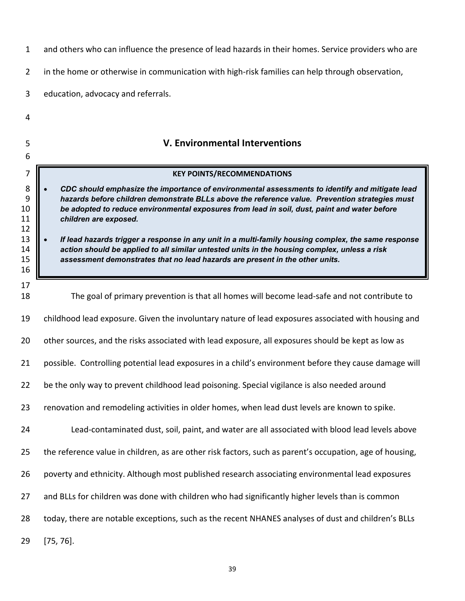<span id="page-49-0"></span>

| $\mathbf{1}$                                     | and others who can influence the presence of lead hazards in their homes. Service providers who are                                                                                                                                                                                                                                                                                                                                                                                                                                                                                                              |
|--------------------------------------------------|------------------------------------------------------------------------------------------------------------------------------------------------------------------------------------------------------------------------------------------------------------------------------------------------------------------------------------------------------------------------------------------------------------------------------------------------------------------------------------------------------------------------------------------------------------------------------------------------------------------|
| $\overline{2}$                                   | in the home or otherwise in communication with high-risk families can help through observation,                                                                                                                                                                                                                                                                                                                                                                                                                                                                                                                  |
| 3                                                | education, advocacy and referrals.                                                                                                                                                                                                                                                                                                                                                                                                                                                                                                                                                                               |
| 4                                                |                                                                                                                                                                                                                                                                                                                                                                                                                                                                                                                                                                                                                  |
| 5<br>6                                           | <b>V. Environmental Interventions</b>                                                                                                                                                                                                                                                                                                                                                                                                                                                                                                                                                                            |
| 7                                                | <b>KEY POINTS/RECOMMENDATIONS</b>                                                                                                                                                                                                                                                                                                                                                                                                                                                                                                                                                                                |
| 8<br>9<br>10<br>11<br>12<br>13<br>14<br>15<br>16 | CDC should emphasize the importance of environmental assessments to identify and mitigate lead<br>hazards before children demonstrate BLLs above the reference value. Prevention strategies must<br>be adopted to reduce environmental exposures from lead in soil, dust, paint and water before<br>children are exposed.<br>If lead hazards trigger a response in any unit in a multi-family housing complex, the same response<br>action should be applied to all similar untested units in the housing complex, unless a risk<br>assessment demonstrates that no lead hazards are present in the other units. |
| 17                                               |                                                                                                                                                                                                                                                                                                                                                                                                                                                                                                                                                                                                                  |
| 18                                               | The goal of primary prevention is that all homes will become lead-safe and not contribute to                                                                                                                                                                                                                                                                                                                                                                                                                                                                                                                     |
| 19                                               | childhood lead exposure. Given the involuntary nature of lead exposures associated with housing and                                                                                                                                                                                                                                                                                                                                                                                                                                                                                                              |
| 20                                               | other sources, and the risks associated with lead exposure, all exposures should be kept as low as                                                                                                                                                                                                                                                                                                                                                                                                                                                                                                               |
| 21                                               | possible. Controlling potential lead exposures in a child's environment before they cause damage will                                                                                                                                                                                                                                                                                                                                                                                                                                                                                                            |
| 22                                               | be the only way to prevent childhood lead poisoning. Special vigilance is also needed around                                                                                                                                                                                                                                                                                                                                                                                                                                                                                                                     |
| 23                                               | renovation and remodeling activities in older homes, when lead dust levels are known to spike.                                                                                                                                                                                                                                                                                                                                                                                                                                                                                                                   |
| 24                                               | Lead-contaminated dust, soil, paint, and water are all associated with blood lead levels above                                                                                                                                                                                                                                                                                                                                                                                                                                                                                                                   |
| 25                                               | the reference value in children, as are other risk factors, such as parent's occupation, age of housing,                                                                                                                                                                                                                                                                                                                                                                                                                                                                                                         |
| 26                                               | poverty and ethnicity. Although most published research associating environmental lead exposures                                                                                                                                                                                                                                                                                                                                                                                                                                                                                                                 |
| 27                                               | and BLLs for children was done with children who had significantly higher levels than is common                                                                                                                                                                                                                                                                                                                                                                                                                                                                                                                  |
| 28                                               | today, there are notable exceptions, such as the recent NHANES analyses of dust and children's BLLs                                                                                                                                                                                                                                                                                                                                                                                                                                                                                                              |
| 29                                               | $[75, 76]$ .                                                                                                                                                                                                                                                                                                                                                                                                                                                                                                                                                                                                     |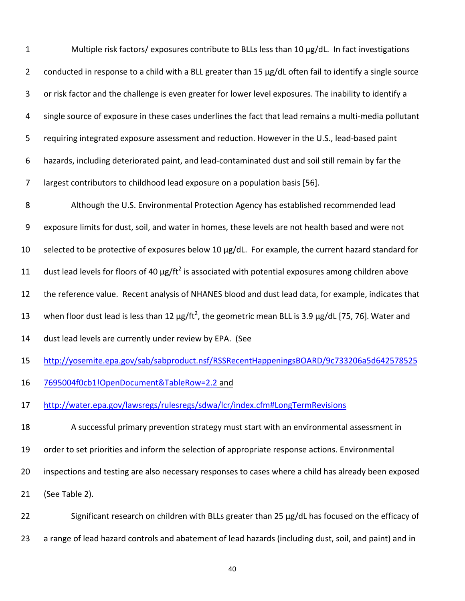1 Multiple risk factors/ exposures contribute to BLLs less than 10 µg/dL. In fact investigations 2 conducted in response to a child with a BLL greater than 15 µg/dL often fail to identify a single source 3 or risk factor and the challenge is even greater for lower level exposures. The inability to identify a 4 single source of exposure in these cases underlines the fact that lead remains a multi‐media pollutant 5 requiring integrated exposure assessment and reduction. However in the U.S., lead‐based paint 6 hazards, including deteriorated paint, and lead‐contaminated dust and soil still remain by far the 7 largest contributors to childhood lead exposure on a population basis [56].

8 Although the U.S. Environmental Protection Agency has established recommended lead 9 exposure limits for dust, soil, and water in homes, these levels are not health based and were not 10 selected to be protective of exposures below 10 µg/dL. For example, the current hazard standard for 11 dust lead levels for floors of 40  $\mu$ g/ft<sup>2</sup> is associated with potential exposures among children above 12 the reference value. Recent analysis of NHANES blood and dust lead data, for example, indicates that 13 When floor dust lead is less than 12  $\mu$ g/ft<sup>2</sup>, the geometric mean BLL is 3.9  $\mu$ g/dL [75, 76]. Water and 14 dust lead levels are currently under review by EPA. (See 15 http://yosemite.epa.gov/sab/sabproduct.nsf/RSSRecentHappeningsBOARD/9c733206a5d642578525

16 7695004f0cb1!OpenDocument&TableRow=2.2 and

17 http://water.epa.gov/lawsregs/rulesregs/sdwa/lcr/index.cfm#LongTermRevisions

- 18 A successful primary prevention strategy must start with an environmental assessment in
- 19 order to set priorities and inform the selection of appropriate response actions. Environmental

20 inspections and testing are also necessary responses to cases where a child has already been exposed

21 (See Table 2).

22 Significant research on children with BLLs greater than 25 µg/dL has focused on the efficacy of

23 a range of lead hazard controls and abatement of lead hazards (including dust, soil, and paint) and in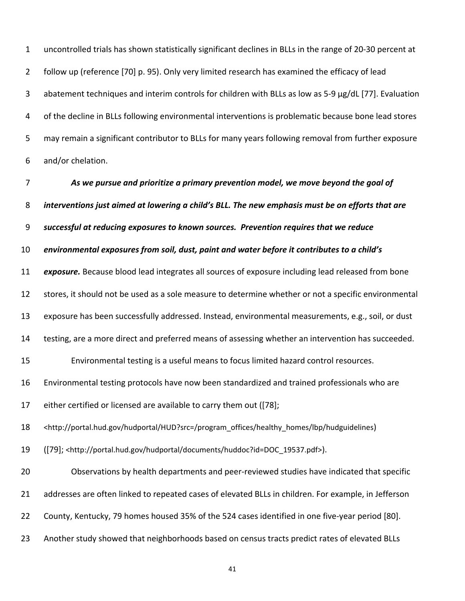uncontrolled trials has shown statistically significant declines in BLLs in the range of 20‐30 percent at follow up (reference [70] p. 95). Only very limited research has examined the efficacy of lead abatement techniques and interim controls for children with BLLs as low as 5‐9 µg/dL [77]. Evaluation of the decline in BLLs following environmental interventions is problematic because bone lead stores may remain a significant contributor to BLLs for many years following removal from further exposure and/or chelation. 1 2 3 4 5 6

 *As we pursue and prioritize a primary prevention model, we move beyond the goal of* interventions just aimed at lowering a child's BLL. The new emphasis must be on efforts that are  *successful at reducing exposures to known sources. Prevention requires that we reduce* environmental exposures from soil, dust, paint and water before it contributes to a child's *exposure.* Because blood lead integrates all sources of exposure including lead released from bone stores, it should not be used as a sole measure to determine whether or not a specific environmental exposure has been successfully addressed. Instead, environmental measurements, e.g., soil, or dust testing, are a more direct and preferred means of assessing whether an intervention has succeeded. Environmental testing is a useful means to focus limited hazard control resources. Environmental testing protocols have now been standardized and trained professionals who are either certified or licensed are available to carry them out ([78]; ([79]; <http://portal.hud.gov/hudportal/documents/huddoc?id=DOC\_19537.pdf>). Observations by health departments and peer‐reviewed studies have indicated that specific addresses are often linked to repeated cases of elevated BLLs in children. For example, in Jefferson County, Kentucky, 79 homes housed 35% of the 524 cases identified in one five‐year period [80]. Another study showed that neighborhoods based on census tracts predict rates of elevated BLLs 7 8 9 10 11 12 13 14 15 16 17 18 19 20 21 22 23 <http://portal.hud.gov/hudportal/HUD?src=/program\_offices/healthy\_homes/lbp/hudguidelines)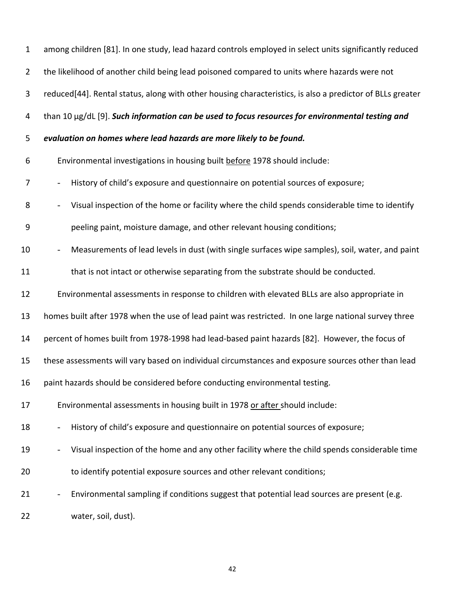| $\mathbf{1}$   | among children [81]. In one study, lead hazard controls employed in select units significantly reduced    |
|----------------|-----------------------------------------------------------------------------------------------------------|
| $\overline{2}$ | the likelihood of another child being lead poisoned compared to units where hazards were not              |
| 3              | reduced[44]. Rental status, along with other housing characteristics, is also a predictor of BLLs greater |
| 4              | than 10 µg/dL [9]. Such information can be used to focus resources for environmental testing and          |
| 5              | evaluation on homes where lead hazards are more likely to be found.                                       |
| 6              | Environmental investigations in housing built before 1978 should include:                                 |
| 7              | History of child's exposure and questionnaire on potential sources of exposure;                           |
| 8              | Visual inspection of the home or facility where the child spends considerable time to identify            |
| 9              | peeling paint, moisture damage, and other relevant housing conditions;                                    |
| 10             | Measurements of lead levels in dust (with single surfaces wipe samples), soil, water, and paint           |
| 11             | that is not intact or otherwise separating from the substrate should be conducted.                        |
| 12             | Environmental assessments in response to children with elevated BLLs are also appropriate in              |
| 13             | homes built after 1978 when the use of lead paint was restricted. In one large national survey three      |
| 14             | percent of homes built from 1978-1998 had lead-based paint hazards [82]. However, the focus of            |
| 15             | these assessments will vary based on individual circumstances and exposure sources other than lead        |
| 16             | paint hazards should be considered before conducting environmental testing.                               |
| 17             | Environmental assessments in housing built in 1978 or after should include:                               |
| 18             | History of child's exposure and questionnaire on potential sources of exposure;                           |
| 19             | Visual inspection of the home and any other facility where the child spends considerable time             |
| 20             | to identify potential exposure sources and other relevant conditions;                                     |
| 21             | Environmental sampling if conditions suggest that potential lead sources are present (e.g.                |
| 22             | water, soil, dust).                                                                                       |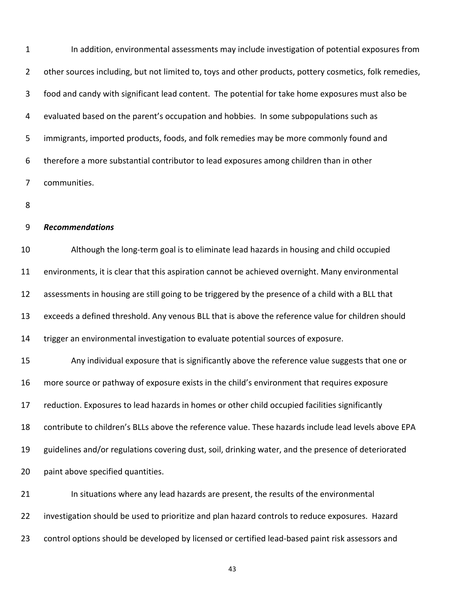In addition, environmental assessments may include investigation of potential exposures from other sources including, but not limited to, toys and other products, pottery cosmetics, folk remedies, food and candy with significant lead content. The potential for take home exposures must also be evaluated based on the parent's occupation and hobbies. In some subpopulations such as immigrants, imported products, foods, and folk remedies may be more commonly found and therefore a more substantial contributor to lead exposures among children than in other 1 2 3 4 5 6 7 communities.

8

#### *Recommendations* 9

 Although the long‐term goal is to eliminate lead hazards in housing and child occupied environments, it is clear that this aspiration cannot be achieved overnight. Many environmental assessments in housing are still going to be triggered by the presence of a child with a BLL that exceeds a defined threshold. Any venous BLL that is above the reference value for children should trigger an environmental investigation to evaluate potential sources of exposure. Any individual exposure that is significantly above the reference value suggests that one or more source or pathway of exposure exists in the child's environment that requires exposure 10 11 12 13 14 15 16

 reduction. Exposures to lead hazards in homes or other child occupied facilities significantly 17

 contribute to children's BLLs above the reference value. These hazards include lead levels above EPA 18

 guidelines and/or regulations covering dust, soil, drinking water, and the presence of deteriorated 19

 paint above specified quantities. 20

 In situations where any lead hazards are present, the results of the environmental investigation should be used to prioritize and plan hazard controls to reduce exposures. Hazard control options should be developed by licensed or certified lead‐based paint risk assessors and 21 22 23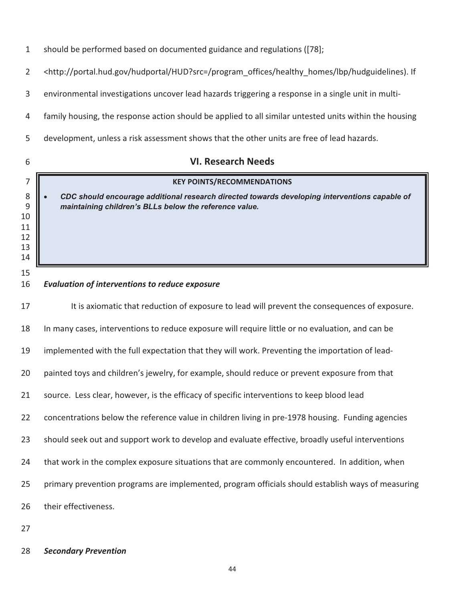| $\mathbf{1}$                         | should be performed based on documented guidance and regulations ([78];                                                                                 |  |  |  |
|--------------------------------------|---------------------------------------------------------------------------------------------------------------------------------------------------------|--|--|--|
| $\overline{2}$                       | <http: hud?src="/program_offices/healthy_homes/lbp/hudguidelines)." hudportal="" if<="" portal.hud.gov="" td=""></http:>                                |  |  |  |
| 3                                    | environmental investigations uncover lead hazards triggering a response in a single unit in multi-                                                      |  |  |  |
| 4                                    | family housing, the response action should be applied to all similar untested units within the housing                                                  |  |  |  |
| 5                                    | development, unless a risk assessment shows that the other units are free of lead hazards.                                                              |  |  |  |
| 6                                    | <b>VI. Research Needs</b>                                                                                                                               |  |  |  |
| 7                                    | <b>KEY POINTS/RECOMMENDATIONS</b>                                                                                                                       |  |  |  |
| 8<br>9<br>10<br>11<br>12<br>13<br>14 | CDC should encourage additional research directed towards developing interventions capable of<br>maintaining children's BLLs below the reference value. |  |  |  |
| 15<br>16                             | <b>Evaluation of interventions to reduce exposure</b>                                                                                                   |  |  |  |
| 17                                   | It is axiomatic that reduction of exposure to lead will prevent the consequences of exposure.                                                           |  |  |  |
| 18                                   | In many cases, interventions to reduce exposure will require little or no evaluation, and can be                                                        |  |  |  |
| 19                                   | implemented with the full expectation that they will work. Preventing the importation of lead-                                                          |  |  |  |
| 20                                   | painted toys and children's jewelry, for example, should reduce or prevent exposure from that                                                           |  |  |  |
| 21                                   | source. Less clear, however, is the efficacy of specific interventions to keep blood lead                                                               |  |  |  |
| 22                                   | concentrations below the reference value in children living in pre-1978 housing. Funding agencies                                                       |  |  |  |
| 23                                   | should seek out and support work to develop and evaluate effective, broadly useful interventions                                                        |  |  |  |
| 24                                   | that work in the complex exposure situations that are commonly encountered. In addition, when                                                           |  |  |  |
| 25                                   | primary prevention programs are implemented, program officials should establish ways of measuring                                                       |  |  |  |
| 26                                   | their effectiveness.                                                                                                                                    |  |  |  |
| 27                                   |                                                                                                                                                         |  |  |  |

*Secondary Prevention*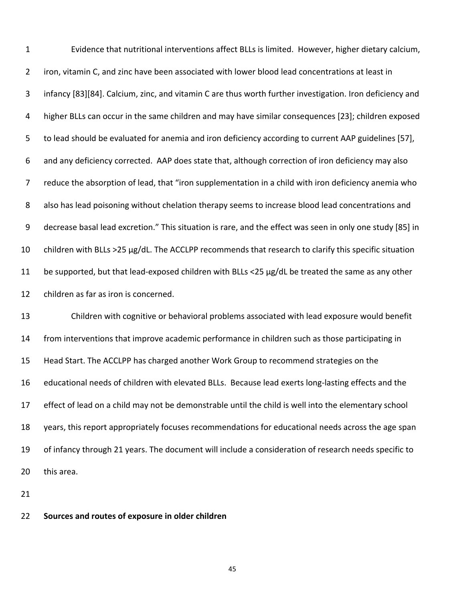Evidence that nutritional interventions affect BLLs is limited. However, higher dietary calcium, iron, vitamin C, and zinc have been associated with lower blood lead concentrations at least in infancy [83][84]. Calcium, zinc, and vitamin C are thus worth further investigation. Iron deficiency and higher BLLs can occur in the same children and may have similar consequences [23]; children exposed to lead should be evaluated for anemia and iron deficiency according to current AAP guidelines [57], and any deficiency corrected. AAP does state that, although correction of iron deficiency may also reduce the absorption of lead, that "iron supplementation in a child with iron deficiency anemia who also has lead poisoning without chelation therapy seems to increase blood lead concentrations and decrease basal lead excretion." This situation is rare, and the effect was seen in only one study [85] in children with BLLs >25 µg/dL. The ACCLPP recommends that research to clarify this specific situation be supported, but that lead‐exposed children with BLLs <25 µg/dL be treated the same as any other children as far as iron is concerned. Children with cognitive or behavioral problems associated with lead exposure would benefit from interventions that improve academic performance in children such as those participating in Head Start. The ACCLPP has charged another Work Group to recommend strategies on the educational needs of children with elevated BLLs. Because lead exerts long‐lasting effects and the effect of lead on a child may not be demonstrable until the child is well into the elementary school years, this report appropriately focuses recommendations for educational needs across the age span of infancy through 21 years. The document will include a consideration of research needs specific to this area. 1 2 3 4 5 6 7 8 9 10 11 12 13 14 15 16 17 18 19 20

21

 **Sources and routes of exposure in older children** 22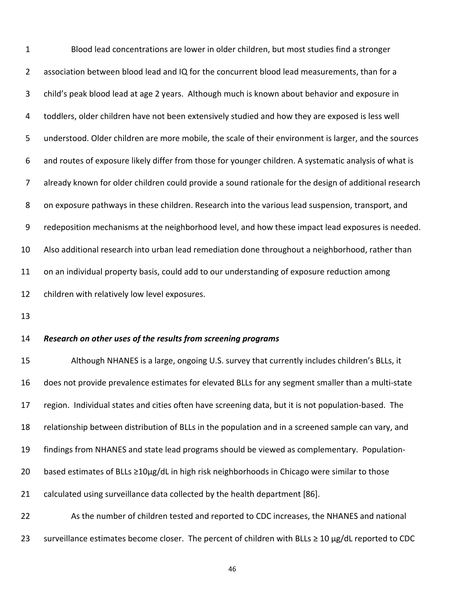Blood lead concentrations are lower in older children, but most studies find a stronger association between blood lead and IQ for the concurrent blood lead measurements, than for a child's peak blood lead at age 2 years. Although much is known about behavior and exposure in toddlers, older children have not been extensively studied and how they are exposed is less well understood. Older children are more mobile, the scale of their environment is larger, and the sources and routes of exposure likely differ from those for younger children. A systematic analysis of what is already known for older children could provide a sound rationale for the design of additional research on exposure pathways in these children. Research into the various lead suspension, transport, and redeposition mechanisms at the neighborhood level, and how these impact lead exposures is needed. Also additional research into urban lead remediation done throughout a neighborhood, rather than on an individual property basis, could add to our understanding of exposure reduction among children with relatively low level exposures. 1 2 3 4 5 6 7 8 9 10 11 12

13

23

#### *Research on other uses of the results from screening programs* 14

 Although NHANES is a large, ongoing U.S. survey that currently includes children's BLLs, it does not provide prevalence estimates for elevated BLLs for any segment smaller than a multi‐state region. Individual states and cities often have screening data, but it is not population‐based. The relationship between distribution of BLLs in the population and in a screened sample can vary, and findings from NHANES and state lead programs should be viewed as complementary. Population‐ based estimates of BLLs ≥10µg/dL in high risk neighborhoods in Chicago were similar to those calculated using surveillance data collected by the health department [86]. As the number of children tested and reported to CDC increases, the NHANES and national 15 16 17 18 19 20 21 22

46

surveillance estimates become closer. The percent of children with BLLs ≥ 10 µg/dL reported to CDC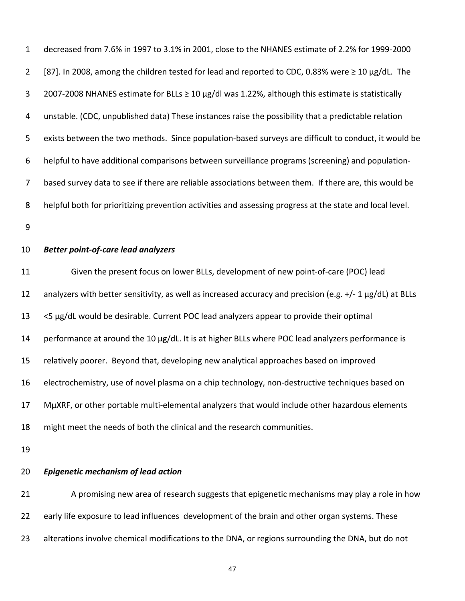decreased from 7.6% in 1997 to 3.1% in 2001, close to the NHANES estimate of 2.2% for 1999‐2000 [87]. In 2008, among the children tested for lead and reported to CDC, 0.83% were ≥ 10 µg/dL. The 2007‐2008 NHANES estimate for BLLs ≥ 10 µg/dl was 1.22%, although this estimate is statistically unstable. (CDC, unpublished data) These instances raise the possibility that a predictable relation exists between the two methods. Since population‐based surveys are difficult to conduct, it would be helpful to have additional comparisons between surveillance programs (screening) and population‐ based survey data to see if there are reliable associations between them. If there are, this would be helpful both for prioritizing prevention activities and assessing progress at the state and local level. 1 2 3 4 5 6 7 8

9

#### *Better point‐of‐care lead analyzers* 10

 Given the present focus on lower BLLs, development of new point‐of‐care (POC) lead analyzers with better sensitivity, as well as increased accuracy and precision (e.g. +/‐ 1 µg/dL) at BLLs <5 µg/dL would be desirable. Current POC lead analyzers appear to provide their optimal performance at around the 10 µg/dL. It is at higher BLLs where POC lead analyzers performance is relatively poorer. Beyond that, developing new analytical approaches based on improved electrochemistry, use of novel plasma on a chip technology, non‐destructive techniques based on MµXRF, or other portable multi‐elemental analyzers that would include other hazardous elements might meet the needs of both the clinical and the research communities. 11 12 13 14 15 16 17 18

19

#### *Epigenetic mechanism of lead action* 20

 A promising new area of research suggests that epigenetic mechanisms may play a role in how early life exposure to lead influences development of the brain and other organ systems. These alterations involve chemical modifications to the DNA, or regions surrounding the DNA, but do not 21 22 23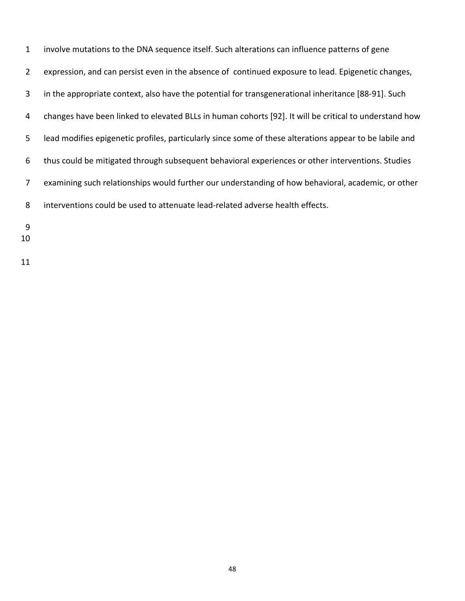| $\mathbf{1}$   | involve mutations to the DNA sequence itself. Such alterations can influence patterns of gene           |
|----------------|---------------------------------------------------------------------------------------------------------|
| $\overline{2}$ | expression, and can persist even in the absence of continued exposure to lead. Epigenetic changes,      |
| $\mathbf{3}$   | in the appropriate context, also have the potential for transgenerational inheritance [88-91]. Such     |
| 4              | changes have been linked to elevated BLLs in human cohorts [92]. It will be critical to understand how  |
| 5 <sup>1</sup> | lead modifies epigenetic profiles, particularly since some of these alterations appear to be labile and |
| 6              | thus could be mitigated through subsequent behavioral experiences or other interventions. Studies       |
| 7 <sup>1</sup> | examining such relationships would further our understanding of how behavioral, academic, or other      |
| 8              | interventions could be used to attenuate lead-related adverse health effects.                           |
|                |                                                                                                         |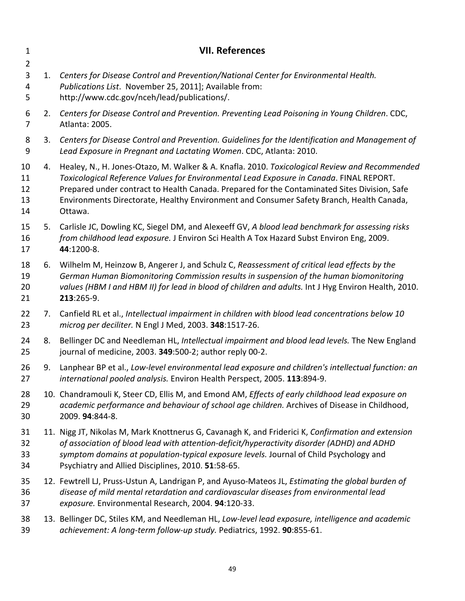<span id="page-59-0"></span>

| $\mathbf{1}$                             |    | <b>VII. References</b>                                                                                                                                                                                                                                                                                                                                                                          |
|------------------------------------------|----|-------------------------------------------------------------------------------------------------------------------------------------------------------------------------------------------------------------------------------------------------------------------------------------------------------------------------------------------------------------------------------------------------|
| $\overline{2}$<br>$\mathbf{3}$<br>4<br>5 | 1. | Centers for Disease Control and Prevention/National Center for Environmental Health.<br>Publications List. November 25, 2011]; Available from:<br>http://www.cdc.gov/nceh/lead/publications/.                                                                                                                                                                                                   |
| 6<br>$\overline{7}$                      |    | 2. Centers for Disease Control and Prevention. Preventing Lead Poisoning in Young Children. CDC,<br>Atlanta: 2005.                                                                                                                                                                                                                                                                              |
| 8<br>9                                   | 3. | Centers for Disease Control and Prevention. Guidelines for the Identification and Management of<br>Lead Exposure in Pregnant and Lactating Women. CDC, Atlanta: 2010.                                                                                                                                                                                                                           |
| 10<br>11<br>12<br>13<br>14               | 4. | Healey, N., H. Jones-Otazo, M. Walker & A. Knafla. 2010. Toxicological Review and Recommended<br>Toxicological Reference Values for Environmental Lead Exposure in Canada. FINAL REPORT.<br>Prepared under contract to Health Canada. Prepared for the Contaminated Sites Division, Safe<br>Environments Directorate, Healthy Environment and Consumer Safety Branch, Health Canada,<br>Ottawa. |
| 15<br>16<br>17                           | 5. | Carlisle JC, Dowling KC, Siegel DM, and Alexeeff GV, A blood lead benchmark for assessing risks<br>from childhood lead exposure. J Environ Sci Health A Tox Hazard Subst Environ Eng, 2009.<br>44:1200-8.                                                                                                                                                                                       |
| 18<br>19<br>20<br>21                     | 6. | Wilhelm M, Heinzow B, Angerer J, and Schulz C, Reassessment of critical lead effects by the<br>German Human Biomonitoring Commission results in suspension of the human biomonitoring<br>values (HBM I and HBM II) for lead in blood of children and adults. Int J Hyg Environ Health, 2010.<br>213:265-9.                                                                                      |
| 22<br>23                                 | 7. | Canfield RL et al., Intellectual impairment in children with blood lead concentrations below 10<br>microg per deciliter. N Engl J Med, 2003. 348:1517-26.                                                                                                                                                                                                                                       |
| 24<br>25                                 | 8. | Bellinger DC and Needleman HL, Intellectual impairment and blood lead levels. The New England<br>journal of medicine, 2003. 349:500-2; author reply 00-2.                                                                                                                                                                                                                                       |
| 26<br>27                                 | 9. | Lanphear BP et al., Low-level environmental lead exposure and children's intellectual function: an<br>international pooled analysis. Environ Health Perspect, 2005. 113:894-9.                                                                                                                                                                                                                  |
| 28<br>29<br>30                           |    | 10. Chandramouli K, Steer CD, Ellis M, and Emond AM, Effects of early childhood lead exposure on<br>academic performance and behaviour of school age children. Archives of Disease in Childhood,<br>2009. 94:844-8.                                                                                                                                                                             |
| 31<br>32<br>33<br>34                     |    | 11. Nigg JT, Nikolas M, Mark Knottnerus G, Cavanagh K, and Friderici K, Confirmation and extension<br>of association of blood lead with attention-deficit/hyperactivity disorder (ADHD) and ADHD<br>symptom domains at population-typical exposure levels. Journal of Child Psychology and<br>Psychiatry and Allied Disciplines, 2010. 51:58-65.                                                |
| 35<br>36<br>37                           |    | 12. Fewtrell LJ, Pruss-Ustun A, Landrigan P, and Ayuso-Mateos JL, Estimating the global burden of<br>disease of mild mental retardation and cardiovascular diseases from environmental lead<br>exposure. Environmental Research, 2004. 94:120-33.                                                                                                                                               |
| 38<br>39                                 |    | 13. Bellinger DC, Stiles KM, and Needleman HL, Low-level lead exposure, intelligence and academic<br>achievement: A long-term follow-up study. Pediatrics, 1992. 90:855-61.                                                                                                                                                                                                                     |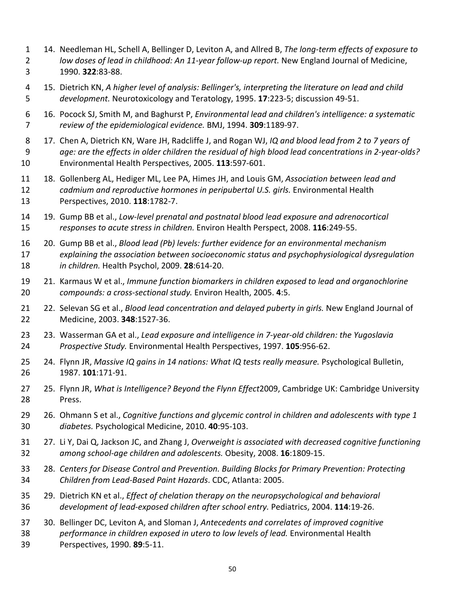- 14. Needleman HL, Schell A, Bellinger D, Leviton A, and Allred B, *The long‐term effects of exposure to* low doses of lead in childhood: An 11-year follow-up report. New England Journal of Medicine, 1990. **322**:83‐88. 1 2 3
- 15. Dietrich KN, A higher level of analysis: Bellinger's, interpreting the literature on lead and child *development.* Neurotoxicology and Teratology, 1995. **17**:223‐5; discussion 49‐51. 4 5
- 16. Pocock SJ, Smith M, and Baghurst P, *Environmental lead and children's intelligence: a systematic review of the epidemiological evidence.* BMJ, 1994. **309**:1189‐97. 6 7
- 17. Chen A, Dietrich KN, Ware JH, Radcliffe J, and Rogan WJ, *IQ and blood lead from 2 to 7 years of* ?age: are the effects in older children the residual of high blood lead concentrations in 2-year-olds Environmental Health Perspectives, 2005. **113**:597‐601. 8 9 10
- 18. Gollenberg AL, Hediger ML, Lee PA, Himes JH, and Louis GM, *Association between lead and cadmium and reproductive hormones in peripubertal U.S. girls.* Environmental Health Perspectives, 2010. **118**:1782‐7. 11 12 13
- 19. Gump BB et al., *Low‐level prenatal and postnatal blood lead exposure and adrenocortical responses to acute stress in children.* Environ Health Perspect, 2008. **116**:249‐55. 14 15
- 20. Gump BB et al., *Blood lead (Pb) levels: further evidence for an environmental mechanism explaining the association between socioeconomic status and psychophysiological dysregulation in children.* Health Psychol, 2009. **28**:614‐20. 16 17 18
- 21. Karmaus W et al., *Immune function biomarkers in children exposed to lead and organochlorine compounds: a cross‐sectional study.* Environ Health, 2005. **4**:5. 19 20
- 22. Selevan SG et al., *Blood lead concentration and delayed puberty in girls.* New England Journal of Medicine, 2003. **348**:1527‐36. 21 22
- 23. Wasserman GA et al., *Lead exposure and intelligence in 7‐year‐old children: the Yugoslavia Prospective Study.* Environmental Health Perspectives, 1997. **105**:956‐62. 23 24
- 24. Flynn JR, *Massive IQ gains in 14 nations: What IQ tests really measure.* Psychological Bulletin, 1987. **101**:171‐91. 25 26
- 25. Flynn JR, *What is Intelligence? Beyond the Flynn Effect*2009, Cambridge UK: Cambridge University 27 28 Press.
- 26. Ohmann S et al., *Cognitive functions and glycemic control in children and adolescents with type 1 diabetes.* Psychological Medicine, 2010. **40**:95‐103. 29 30
- 27. Li Y, Dai Q, Jackson JC, and Zhang J, *Overweight is associated with decreased cognitive functioning among school‐age children and adolescents.* Obesity, 2008. **16**:1809‐15. 31 32
- 28.*Centers for Disease Control and Prevention. Building Blocks for Primary Prevention: Protecting Children from Lead‐Based Paint Hazards*. CDC, Atlanta: 2005. 33 34
- 29. Dietrich KN et al., *Effect of chelation therapy on the neuropsychological and behavioral development of lead‐exposed children after school entry.* Pediatrics, 2004. **114**:19‐26. 35 36
- 30. Bellinger DC, Leviton A, and Sloman J, *Antecedents and correlates of improved cognitive performance in children exposed in utero to low levels of lead.* Environmental Health Perspectives, 1990. **89**:5‐11. 37 38 39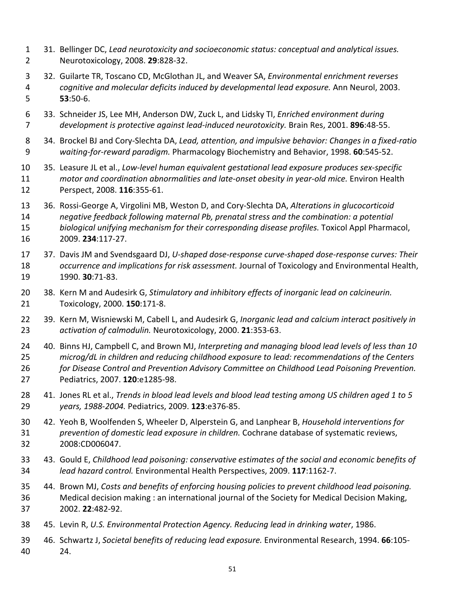- 31. Bellinger DC, *Lead neurotoxicity and socioeconomic status: conceptual and analytical issues.* Neurotoxicology, 2008. **29**:828‐32. 1 2
- 32. Guilarte TR, Toscano CD, McGlothan JL, and Weaver SA, *Environmental enrichment reverses cognitive and molecular deficits induced by developmental lead exposure.* Ann Neurol, 2003. 3 4 5 **53**:50‐6.
- 33. Schneider JS, Lee MH, Anderson DW, Zuck L, and Lidsky TI, *Enriched environment during development is protective against lead‐induced neurotoxicity.* Brain Res, 2001. **896**:48‐55. 6 7
- 34. Brockel BJ and Cory‐Slechta DA, *Lead, attention, and impulsive behavior: Changes in a fixed‐ratio waiting‐for‐reward paradigm.* Pharmacology Biochemistry and Behavior, 1998. **60**:545‐52. 8 9
- 35. Leasure JL et al., *Low‐level human equivalent gestational lead exposure produces sex‐specific* motor and coordination abnormalities and late-onset obesity in year-old mice. Environ Health Perspect, 2008. **116**:355‐61. 10 11 12
- 36. Rossi‐George A, Virgolini MB, Weston D, and Cory‐Slechta DA, *Alterations in glucocorticoid negative feedback following maternal Pb, prenatal stress and the combination: a potential biological unifying mechanism for their corresponding disease profiles.* Toxicol Appl Pharmacol, 2009. **234**:117‐27. 13 14 15 16
- 37. Davis JM and Svendsgaard DJ, *U‐shaped dose‐response curve‐shaped dose‐response curves: Their occurrence and implications for risk assessment.* Journal of Toxicology and Environmental Health, 1990. **30**:71‐83. 17 18 19
- 38. Kern M and Audesirk G, *Stimulatory and inhibitory effects of inorganic lead on calcineurin.* Toxicology, 2000. **150**:171‐8. 20 21
- 39. Kern M, Wisniewski M, Cabell L, and Audesirk G, *Inorganic lead and calcium interact positively in activation of calmodulin.* Neurotoxicology, 2000. **21**:353‐63. 22 23
- 40. Binns HJ, Campbell C, and Brown MJ, *Interpreting and managing blood lead levels of less than 10 microg/dL in children and reducing childhood exposure to lead: recommendations of the Centers for Disease Control and Prevention Advisory Committee on Childhood Lead Poisoning Prevention.* Pediatrics, 2007. **120**:e1285‐98. 24 25 26 27
- 41. Jones RL et al., Trends in blood lead levels and blood lead testing among US children aged 1 to 5 *years, 1988‐2004.* Pediatrics, 2009. **123**:e376‐85. 28 29
- 42. Yeoh B, Woolfenden S, Wheeler D, Alperstein G, and Lanphear B, *Household interventions for prevention of domestic lead exposure in children.* Cochrane database of systematic reviews, 30 31 32 2008:CD006047.
- 43. Gould E, *Childhood lead poisoning: conservative estimates of the social and economic benefits of lead hazard control.* Environmental Health Perspectives, 2009. **117**:1162‐7. 33 34
- 44. Brown MJ, *Costs and benefits of enforcing housing policies to prevent childhood lead poisoning.* Medical decision making : an international journal of the Society for Medical Decision Making, 2002. **22**:482‐92. 35 36 37
- 45. Levin R, *U.S. Environmental Protection Agency. Reducing lead in drinking water*, 1986. 38
- 46. Schwartz J, *Societal benefits of reducing lead exposure.* Environmental Research, 1994. **66**:105‐ 24. 39 40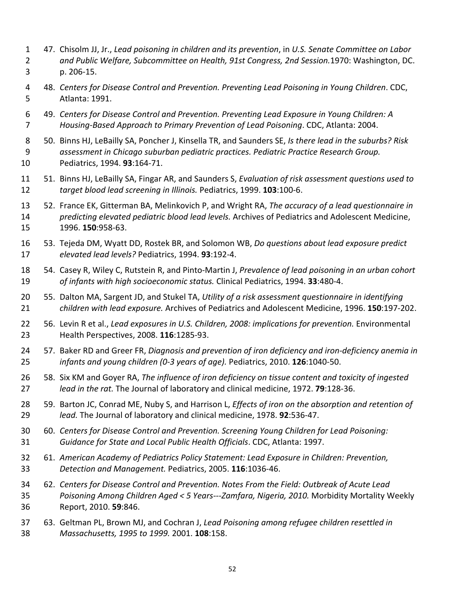- 47. Chisolm JJ, Jr., Lead poisoning in children and its prevention, in U.S. Senate Committee on Labor  *and Public Welfare, Subcommittee on Health, 91st Congress, 2nd Session.*1970: Washington, DC. p. 206‐15. 1 2 3
- 48.*Centers for Disease Control and Prevention. Preventing Lead Poisoning in Young Children*. CDC, Atlanta: 1991. 4 5
- 49.*Centers for Disease Control and Prevention. Preventing Lead Exposure in Young Children: A Housing‐Based Approach to Primary Prevention of Lead Poisoning*. CDC, Atlanta: 2004. 6 7
- 50. Binns HJ, LeBailly SA, Poncher J, Kinsella TR, and Saunders SE, *Is there lead in the suburbs? Risk assessment in Chicago suburban pediatric practices. Pediatric Practice Research Group.* Pediatrics, 1994. **93**:164‐71. 8 9 10
- 51. Binns HJ, LeBailly SA, Fingar AR, and Saunders S, *Evaluation of risk assessment questions used to target blood lead screening in Illinois.* Pediatrics, 1999. **103**:100‐6. 11 12
- 52. France EK, Gitterman BA, Melinkovich P, and Wright RA, *The accuracy of a lead questionnaire in predicting elevated pediatric blood lead levels.* Archives of Pediatrics and Adolescent Medicine, 1996. **150**:958‐63. 13 14 15
- 53. Tejeda DM, Wyatt DD, Rostek BR, and Solomon WB, *Do questions about lead exposure predict elevated lead levels?* Pediatrics, 1994. **93**:192‐4. 16 17
- 54. Casey R, Wiley C, Rutstein R, and Pinto‐Martin J, *Prevalence of lead poisoning in an urban cohort of infants with high socioeconomic status.* Clinical Pediatrics, 1994. **33**:480‐4. 18 19
- 55. Dalton MA, Sargent JD, and Stukel TA, *Utility of a risk assessment questionnaire in identifying children with lead exposure.* Archives of Pediatrics and Adolescent Medicine, 1996. **150**:197‐202. 20 21
- 56. Levin R et al., *Lead exposures in U.S. Children, 2008: implications for prevention.* Environmental Health Perspectives, 2008. **116**:1285‐93. 22 23
- 57. Baker RD and Greer FR, *Diagnosis and prevention of iron deficiency and iron‐deficiency anemia in infants and young children (0‐3 years of age).* Pediatrics, 2010. **126**:1040‐50. 24 25
- 58. Six KM and Goyer RA, *The influence of iron deficiency on tissue content and toxicity of ingested lead in the rat.* The Journal of laboratory and clinical medicine, 1972. **79**:128‐36. 26 27
- 59. Barton JC, Conrad ME, Nuby S, and Harrison L, *Effects of iron on the absorption and retention of lead.* The Journal of laboratory and clinical medicine, 1978. **92**:536‐47. 28 29
- 60.*Centers for Disease Control and Prevention. Screening Young Children for Lead Poisoning: Guidance for State and Local Public Health Officials*. CDC, Atlanta: 1997. 30 31
- 61.*American Academy of Pediatrics Policy Statement: Lead Exposure in Children: Prevention, Detection and Management.* Pediatrics, 2005. **116**:1036‐46. 32 33
- 62. Centers for Disease Control and Prevention. Notes From the Field: Outbreak of Acute Lead  *Poisoning Among Children Aged < 5 Years‐‐‐Zamfara, Nigeria, 2010.* Morbidity Mortality Weekly Report, 2010. **59**:846. 34 35 36
- 63. Geltman PL, Brown MJ, and Cochran J, *Lead Poisoning among refugee children resettled in Massachusetts, 1995 to 1999.* 2001. **108**:158. 37 38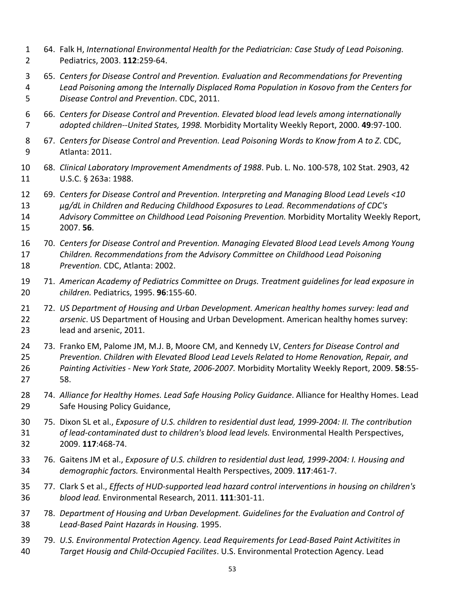- 64. Falk H, *International Environmental Health for the Pediatrician: Case Study of Lead Poisoning.* Pediatrics, 2003. **112**:259‐64. 1 2
- 65.*Centers for Disease Control and Prevention. Evaluation and Recommendations for Preventing* Lead Poisoning among the Internally Displaced Roma Population in Kosovo from the Centers for  *Disease Control and Prevention*. CDC, 2011. 3 4 5
- 66.*Centers for Disease Control and Prevention. Elevated blood lead levels among internationally adopted children‐‐United States, 1998.* Morbidity Mortality Weekly Report, 2000. **49**:97‐100. 6 7
- 67. Centers for Disease Control and Prevention. Lead Poisoning Words to Know from A to Z. CDC, Atlanta: 2011. 8 9
- 68.*Clinical Laboratory Improvement Amendments of 1988*. Pub. L. No. 100‐578, 102 Stat. 2903, 42 U.S.C. § 263a: 1988. 10 11
- 69.*Centers for Disease Control and Prevention. Interpreting and Managing Blood Lead Levels <10 µg/dL in Children and Reducing Childhood Exposures to Lead. Recommendations of CDC's Advisory Committee on Childhood Lead Poisoning Prevention.* Morbidity Mortality Weekly Report, 2007. **56**. 12 13 14 15
- 70.*Centers for Disease Control and Prevention. Managing Elevated Blood Lead Levels Among Young Children. Recommendations from the Advisory Committee on Childhood Lead Poisoning Prevention.* CDC, Atlanta: 2002. 16 17 18
- 71.*American Academy of Pediatrics Committee on Drugs. Treatment guidelines for lead exposure in children.* Pediatrics, 1995. **96**:155‐60. 19 20
- 72.*US Department of Housing and Urban Development. American healthy homes survey: lead and arsenic*. US Department of Housing and Urban Development. American healthy homes survey: lead and arsenic, 2011. 21 22 23
- 73. Franko EM, Palome JM, M.J. B, Moore CM, and Kennedy LV, *Centers for Disease Control and Prevention. Children with Elevated Blood Lead Levels Related to Home Renovation, Repair, and Painting Activities ‐ New York State, 2006‐2007.* Morbidity Mortality Weekly Report, 2009. **58**:55‐ 58. 24 25 26 27
- 74.*Alliance for Healthy Homes. Lead Safe Housing Policy Guidance*. Alliance for Healthy Homes. Lead Safe Housing Policy Guidance, 28 29
- 75. Dixon SL et al., Exposure of U.S. children to residential dust lead, 1999-2004: II. The contribution  *of lead‐contaminated dust to children's blood lead levels.* Environmental Health Perspectives, 2009. **117**:468‐74. 30 31 32
- 76. Gaitens JM et al., Exposure of U.S. children to residential dust lead, 1999-2004: I. Housing and *demographic factors.* Environmental Health Perspectives, 2009. **117**:461‐7. 33 34
- 77. Clark S et al., Effects of HUD-supported lead hazard control interventions in housing on children's *blood lead.* Environmental Research, 2011. **111**:301‐11. 35 36
- 78. Department of Housing and Urban Development. Guidelines for the Evaluation and Control of  *Lead‐Based Paint Hazards in Housing.* 1995. 37 38
- 79.*U.S. Environmental Protection Agency. Lead Requirements for Lead‐Based Paint Activitites in Target Housig and Child‐Occupied Facilites*. U.S. Environmental Protection Agency. Lead 39 40